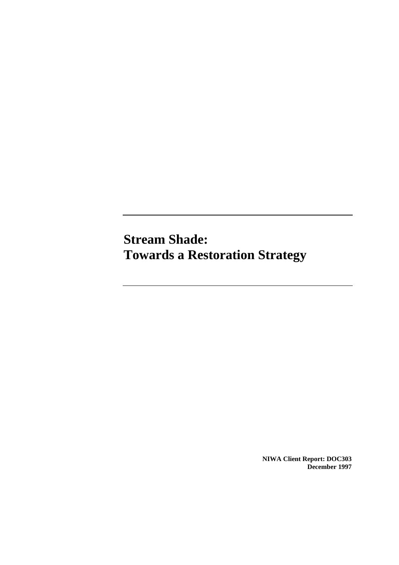**Stream Shade: Towards a Restoration Strategy** 

> **NIWA Client Report: DOC303 December 1997**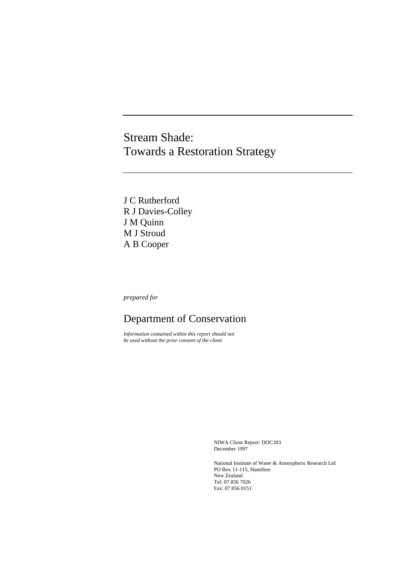# Stream Shade: Towards a Restoration Strategy

J C Rutherford R J Davies-Colley J M Quinn M J Stroud A B Cooper

*prepared for* 

# Department of Conservation

*Information contained within this report should not be used without the prior consent of the client*

> NIWA Client Report: DOC303 December 1997

National Institute of Water & Atmospheric Research Ltd PO Box 11-115, Hamilton New Zealand Tel: 07 856 7026 Fax: 07 856 0151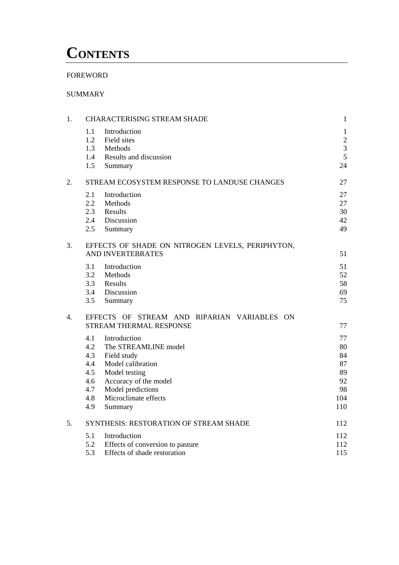# **CONTENTS**

# FOREWORD

# SUMMARY

| 1. | <b>CHARACTERISING STREAM SHADE</b>                                                                                                                                                                                                        | $\mathbf{1}$                                         |
|----|-------------------------------------------------------------------------------------------------------------------------------------------------------------------------------------------------------------------------------------------|------------------------------------------------------|
|    | 1.1<br>Introduction<br>1.2<br>Field sites<br>1.3<br>Methods<br>Results and discussion<br>1.4                                                                                                                                              | $\mathbf{1}$<br>$\sqrt{2}$<br>$\mathfrak{Z}$<br>5    |
|    | 1.5<br>Summary                                                                                                                                                                                                                            | 24                                                   |
| 2. | STREAM ECOSYSTEM RESPONSE TO LANDUSE CHANGES                                                                                                                                                                                              | 27                                                   |
|    | 2.1<br>Introduction<br>2.2<br>Methods<br>2.3<br>Results<br>2.4<br>Discussion<br>2.5<br>Summary                                                                                                                                            | 27<br>27<br>30<br>42<br>49                           |
| 3. | EFFECTS OF SHADE ON NITROGEN LEVELS, PERIPHYTON,<br><b>AND INVERTEBRATES</b>                                                                                                                                                              | 51                                                   |
|    | 3.1<br>Introduction<br>3.2<br>Methods<br>3.3<br>Results<br>3.4<br>Discussion<br>3.5<br>Summary                                                                                                                                            | 51<br>52<br>58<br>69<br>75                           |
| 4. | EFFECTS OF STREAM AND RIPARIAN VARIABLES ON<br>STREAM THERMAL RESPONSE                                                                                                                                                                    | 77                                                   |
|    | 4.1<br>Introduction<br>The STREAMLINE model<br>4.2<br>4.3<br>Field study<br>4.4<br>Model calibration<br>4.5<br>Model testing<br>Accuracy of the model<br>4.6<br>4.7<br>Model predictions<br>Microclimate effects<br>4.8<br>4.9<br>Summary | 77<br>80<br>84<br>87<br>89<br>92<br>98<br>104<br>110 |
| 5. | SYNTHESIS: RESTORATION OF STREAM SHADE                                                                                                                                                                                                    | 112                                                  |
|    | 5.1<br>Introduction<br>5.2<br>Effects of conversion to pasture<br>5.3<br>Effects of shade restoration                                                                                                                                     | 112<br>112<br>115                                    |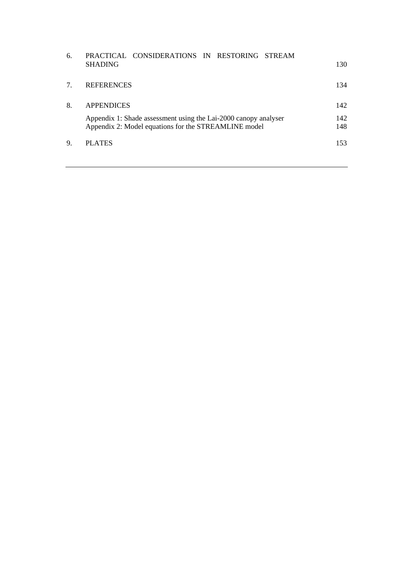| 6. | PRACTICAL CONSIDERATIONS IN RESTORING STREAM<br><b>SHADING</b>                                                                               | 130               |
|----|----------------------------------------------------------------------------------------------------------------------------------------------|-------------------|
|    | <b>REFERENCES</b>                                                                                                                            | 134               |
| 8. | <b>APPENDICES</b><br>Appendix 1: Shade assessment using the Lai-2000 canopy analyser<br>Appendix 2: Model equations for the STREAMLINE model | 142<br>142<br>148 |
| 9. | PLATES                                                                                                                                       | 153               |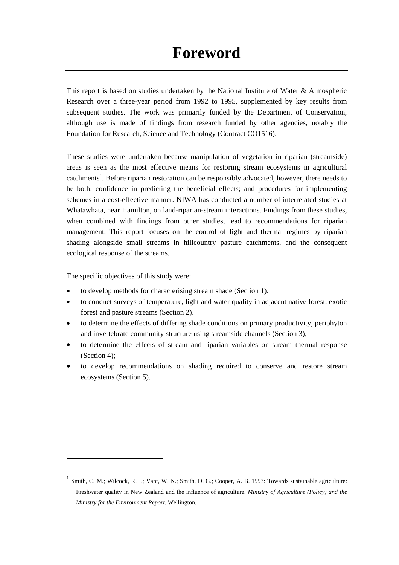This report is based on studies undertaken by the National Institute of Water & Atmospheric Research over a three-year period from 1992 to 1995, supplemented by key results from subsequent studies. The work was primarily funded by the Department of Conservation, although use is made of findings from research funded by other agencies, notably the Foundation for Research, Science and Technology (Contract CO1516).

These studies were undertaken because manipulation of vegetation in riparian (streamside) areas is seen as the most effective means for restoring stream ecosystems in agricultural catchments<sup>1</sup>. Before riparian restoration can be responsibly advocated, however, there needs to be both: confidence in predicting the beneficial effects; and procedures for implementing schemes in a cost-effective manner. NIWA has conducted a number of interrelated studies at Whatawhata, near Hamilton, on land-riparian-stream interactions. Findings from these studies, when combined with findings from other studies, lead to recommendations for riparian management. This report focuses on the control of light and thermal regimes by riparian shading alongside small streams in hillcountry pasture catchments, and the consequent ecological response of the streams.

The specific objectives of this study were:

- to develop methods for characterising stream shade (Section 1).
- to conduct surveys of temperature, light and water quality in adjacent native forest, exotic forest and pasture streams (Section 2).
- to determine the effects of differing shade conditions on primary productivity, periphyton and invertebrate community structure using streamside channels (Section 3);
- to determine the effects of stream and riparian variables on stream thermal response (Section 4);
- to develop recommendations on shading required to conserve and restore stream ecosystems (Section 5).

 $<sup>1</sup>$  Smith, C. M.; Wilcock, R. J.; Vant, W. N.; Smith, D. G.; Cooper, A. B. 1993: Towards sustainable agriculture:</sup> Freshwater quality in New Zealand and the influence of agriculture. *Ministry of Agriculture (Policy) and the Ministry for the Environment Report.* Wellington*.*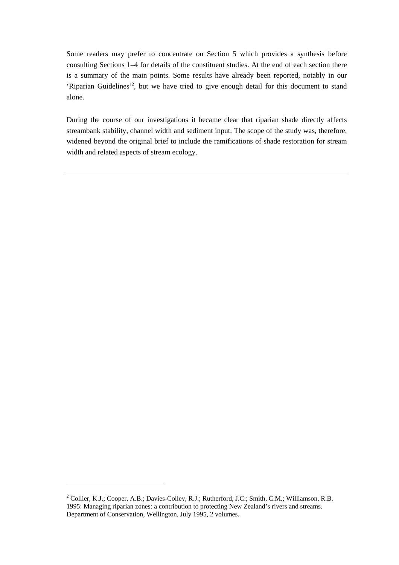Some readers may prefer to concentrate on Section 5 which provides a synthesis before consulting Sections 1–4 for details of the constituent studies. At the end of each section there is a summary of the main points. Some results have already been reported, notably in our 'Riparian Guidelines'<sup>2</sup>, but we have tried to give enough detail for this document to stand alone.

During the course of our investigations it became clear that riparian shade directly affects streambank stability, channel width and sediment input. The scope of the study was, therefore, widened beyond the original brief to include the ramifications of shade restoration for stream width and related aspects of stream ecology.

<sup>&</sup>lt;sup>2</sup> Collier, K.J.; Cooper, A.B.; Davies-Colley, R.J.; Rutherford, J.C.; Smith, C.M.; Williamson, R.B. 1995: Managing riparian zones: a contribution to protecting New Zealand's rivers and streams. Department of Conservation, Wellington, July 1995, 2 volumes.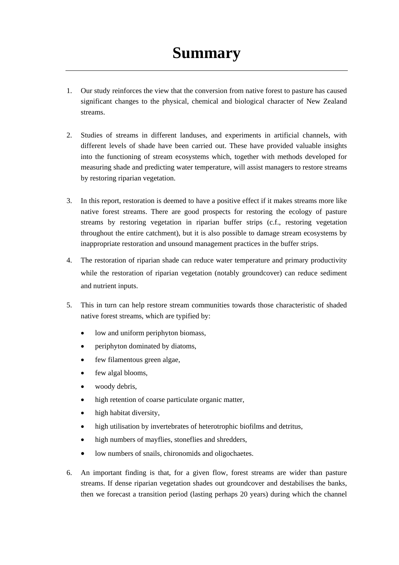- 1. Our study reinforces the view that the conversion from native forest to pasture has caused significant changes to the physical, chemical and biological character of New Zealand streams.
- 2. Studies of streams in different landuses, and experiments in artificial channels, with different levels of shade have been carried out. These have provided valuable insights into the functioning of stream ecosystems which, together with methods developed for measuring shade and predicting water temperature, will assist managers to restore streams by restoring riparian vegetation.
- 3. In this report, restoration is deemed to have a positive effect if it makes streams more like native forest streams. There are good prospects for restoring the ecology of pasture streams by restoring vegetation in riparian buffer strips (c.f., restoring vegetation throughout the entire catchment), but it is also possible to damage stream ecosystems by inappropriate restoration and unsound management practices in the buffer strips.
- 4. The restoration of riparian shade can reduce water temperature and primary productivity while the restoration of riparian vegetation (notably groundcover) can reduce sediment and nutrient inputs.
- 5. This in turn can help restore stream communities towards those characteristic of shaded native forest streams, which are typified by:
	- low and uniform periphyton biomass,
	- periphyton dominated by diatoms,
	- few filamentous green algae,
	- few algal blooms,
	- woody debris,
	- high retention of coarse particulate organic matter,
	- high habitat diversity,
	- high utilisation by invertebrates of heterotrophic biofilms and detritus,
	- high numbers of mayflies, stoneflies and shredders,
	- low numbers of snails, chironomids and oligochaetes.
- 6. An important finding is that, for a given flow, forest streams are wider than pasture streams. If dense riparian vegetation shades out groundcover and destabilises the banks, then we forecast a transition period (lasting perhaps 20 years) during which the channel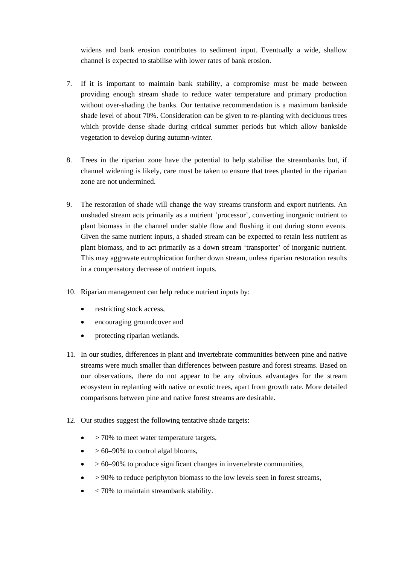widens and bank erosion contributes to sediment input. Eventually a wide, shallow channel is expected to stabilise with lower rates of bank erosion.

- 7. If it is important to maintain bank stability, a compromise must be made between providing enough stream shade to reduce water temperature and primary production without over-shading the banks. Our tentative recommendation is a maximum bankside shade level of about 70%. Consideration can be given to re-planting with deciduous trees which provide dense shade during critical summer periods but which allow bankside vegetation to develop during autumn-winter.
- 8. Trees in the riparian zone have the potential to help stabilise the streambanks but, if channel widening is likely, care must be taken to ensure that trees planted in the riparian zone are not undermined.
- 9. The restoration of shade will change the way streams transform and export nutrients. An unshaded stream acts primarily as a nutrient 'processor', converting inorganic nutrient to plant biomass in the channel under stable flow and flushing it out during storm events. Given the same nutrient inputs, a shaded stream can be expected to retain less nutrient as plant biomass, and to act primarily as a down stream 'transporter' of inorganic nutrient. This may aggravate eutrophication further down stream, unless riparian restoration results in a compensatory decrease of nutrient inputs.
- 10. Riparian management can help reduce nutrient inputs by:
	- restricting stock access,
	- encouraging groundcover and
	- protecting riparian wetlands.
- 11. In our studies, differences in plant and invertebrate communities between pine and native streams were much smaller than differences between pasture and forest streams. Based on our observations, there do not appear to be any obvious advantages for the stream ecosystem in replanting with native or exotic trees, apart from growth rate. More detailed comparisons between pine and native forest streams are desirable.
- 12. Our studies suggest the following tentative shade targets:
	- $\bullet$  > 70% to meet water temperature targets.
	- $\bullet$  > 60–90% to control algal blooms,
	- $\bullet$  > 60–90% to produce significant changes in invertebrate communities,
	- $\bullet$  > 90% to reduce periphyton biomass to the low levels seen in forest streams,
	- $\leq$  70% to maintain streambank stability.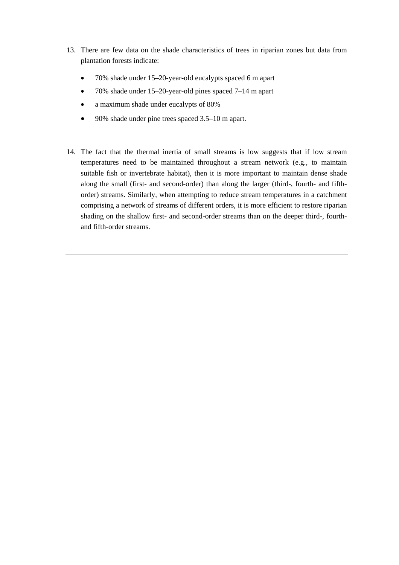- 13. There are few data on the shade characteristics of trees in riparian zones but data from plantation forests indicate:
	- 70% shade under 15–20-year-old eucalypts spaced 6 m apart
	- 70% shade under 15–20-year-old pines spaced 7–14 m apart
	- a maximum shade under eucalypts of 80%
	- 90% shade under pine trees spaced 3.5–10 m apart.
- 14. The fact that the thermal inertia of small streams is low suggests that if low stream temperatures need to be maintained throughout a stream network (e.g., to maintain suitable fish or invertebrate habitat), then it is more important to maintain dense shade along the small (first- and second-order) than along the larger (third-, fourth- and fifthorder) streams. Similarly, when attempting to reduce stream temperatures in a catchment comprising a network of streams of different orders, it is more efficient to restore riparian shading on the shallow first- and second-order streams than on the deeper third-, fourthand fifth-order streams.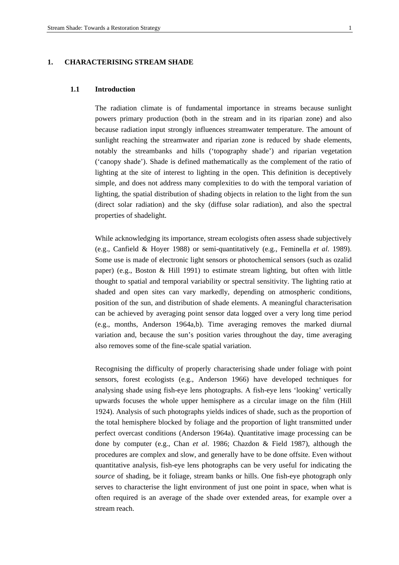# **1. CHARACTERISING STREAM SHADE**

#### **1.1 Introduction**

The radiation climate is of fundamental importance in streams because sunlight powers primary production (both in the stream and in its riparian zone) and also because radiation input strongly influences streamwater temperature. The amount of sunlight reaching the streamwater and riparian zone is reduced by shade elements, notably the streambanks and hills ('topography shade') and riparian vegetation ('canopy shade'). Shade is defined mathematically as the complement of the ratio of lighting at the site of interest to lighting in the open. This definition is deceptively simple, and does not address many complexities to do with the temporal variation of lighting, the spatial distribution of shading objects in relation to the light from the sun (direct solar radiation) and the sky (diffuse solar radiation), and also the spectral properties of shadelight.

While acknowledging its importance, stream ecologists often assess shade subjectively (e.g., Canfield & Hoyer 1988) or semi-quantitatively (e.g., Feminella *et al*. 1989). Some use is made of electronic light sensors or photochemical sensors (such as ozalid paper) (e.g., Boston & Hill 1991) to estimate stream lighting, but often with little thought to spatial and temporal variability or spectral sensitivity. The lighting ratio at shaded and open sites can vary markedly, depending on atmospheric conditions, position of the sun, and distribution of shade elements. A meaningful characterisation can be achieved by averaging point sensor data logged over a very long time period (e.g., months, Anderson 1964a,b). Time averaging removes the marked diurnal variation and, because the sun's position varies throughout the day, time averaging also removes some of the fine-scale spatial variation.

Recognising the difficulty of properly characterising shade under foliage with point sensors, forest ecologists (e.g., Anderson 1966) have developed techniques for analysing shade using fish-eye lens photographs. A fish-eye lens 'looking' vertically upwards focuses the whole upper hemisphere as a circular image on the film (Hill 1924). Analysis of such photographs yields indices of shade, such as the proportion of the total hemisphere blocked by foliage and the proportion of light transmitted under perfect overcast conditions (Anderson 1964a). Quantitative image processing can be done by computer (e.g., Chan *et al*. 1986; Chazdon & Field 1987), although the procedures are complex and slow, and generally have to be done offsite. Even without quantitative analysis, fish-eye lens photographs can be very useful for indicating the *source* of shading, be it foliage, stream banks or hills. One fish-eye photograph only serves to characterise the light environment of just one point in space, when what is often required is an average of the shade over extended areas, for example over a stream reach.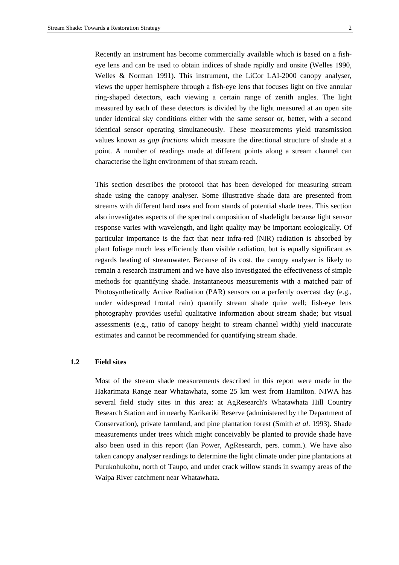Recently an instrument has become commercially available which is based on a fisheye lens and can be used to obtain indices of shade rapidly and onsite (Welles 1990, Welles & Norman 1991). This instrument, the LiCor LAI-2000 canopy analyser, views the upper hemisphere through a fish-eye lens that focuses light on five annular ring-shaped detectors, each viewing a certain range of zenith angles. The light measured by each of these detectors is divided by the light measured at an open site under identical sky conditions either with the same sensor or, better, with a second identical sensor operating simultaneously. These measurements yield transmission values known as *gap fractions* which measure the directional structure of shade at a point. A number of readings made at different points along a stream channel can characterise the light environment of that stream reach.

This section describes the protocol that has been developed for measuring stream shade using the canopy analyser. Some illustrative shade data are presented from streams with different land uses and from stands of potential shade trees. This section also investigates aspects of the spectral composition of shadelight because light sensor response varies with wavelength, and light quality may be important ecologically. Of particular importance is the fact that near infra-red (NIR) radiation is absorbed by plant foliage much less efficiently than visible radiation, but is equally significant as regards heating of streamwater. Because of its cost, the canopy analyser is likely to remain a research instrument and we have also investigated the effectiveness of simple methods for quantifying shade. Instantaneous measurements with a matched pair of Photosynthetically Active Radiation (PAR) sensors on a perfectly overcast day (e.g., under widespread frontal rain) quantify stream shade quite well; fish-eye lens photography provides useful qualitative information about stream shade; but visual assessments (e.g., ratio of canopy height to stream channel width) yield inaccurate estimates and cannot be recommended for quantifying stream shade.

#### **1.2 Field sites**

Most of the stream shade measurements described in this report were made in the Hakarimata Range near Whatawhata, some 25 km west from Hamilton. NIWA has several field study sites in this area: at AgResearch's Whatawhata Hill Country Research Station and in nearby Karikariki Reserve (administered by the Department of Conservation), private farmland, and pine plantation forest (Smith *et al*. 1993). Shade measurements under trees which might conceivably be planted to provide shade have also been used in this report (Ian Power, AgResearch, pers. comm.). We have also taken canopy analyser readings to determine the light climate under pine plantations at Purukohukohu, north of Taupo, and under crack willow stands in swampy areas of the Waipa River catchment near Whatawhata.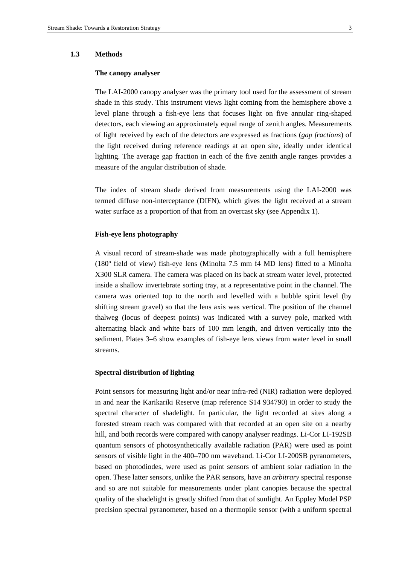#### **1.3 Methods**

#### **The canopy analyser**

The LAI-2000 canopy analyser was the primary tool used for the assessment of stream shade in this study. This instrument views light coming from the hemisphere above a level plane through a fish-eye lens that focuses light on five annular ring-shaped detectors, each viewing an approximately equal range of zenith angles. Measurements of light received by each of the detectors are expressed as fractions (*gap fractions*) of the light received during reference readings at an open site, ideally under identical lighting. The average gap fraction in each of the five zenith angle ranges provides a measure of the angular distribution of shade.

The index of stream shade derived from measurements using the LAI-2000 was termed diffuse non-interceptance (DIFN), which gives the light received at a stream water surface as a proportion of that from an overcast sky (see Appendix 1).

# **Fish-eye lens photography**

A visual record of stream-shade was made photographically with a full hemisphere (180º field of view) fish-eye lens (Minolta 7.5 mm f4 MD lens) fitted to a Minolta X300 SLR camera. The camera was placed on its back at stream water level, protected inside a shallow invertebrate sorting tray, at a representative point in the channel. The camera was oriented top to the north and levelled with a bubble spirit level (by shifting stream gravel) so that the lens axis was vertical. The position of the channel thalweg (locus of deepest points) was indicated with a survey pole, marked with alternating black and white bars of 100 mm length, and driven vertically into the sediment. Plates 3–6 show examples of fish-eye lens views from water level in small streams.

#### **Spectral distribution of lighting**

Point sensors for measuring light and/or near infra-red (NIR) radiation were deployed in and near the Karikariki Reserve (map reference S14 934790) in order to study the spectral character of shadelight. In particular, the light recorded at sites along a forested stream reach was compared with that recorded at an open site on a nearby hill, and both records were compared with canopy analyser readings. Li-Cor LI-192SB quantum sensors of photosynthetically available radiation (PAR) were used as point sensors of visible light in the 400–700 nm waveband. Li-Cor LI-200SB pyranometers, based on photodiodes, were used as point sensors of ambient solar radiation in the open. These latter sensors, unlike the PAR sensors, have an *arbitrary* spectral response and so are not suitable for measurements under plant canopies because the spectral quality of the shadelight is greatly shifted from that of sunlight. An Eppley Model PSP precision spectral pyranometer, based on a thermopile sensor (with a uniform spectral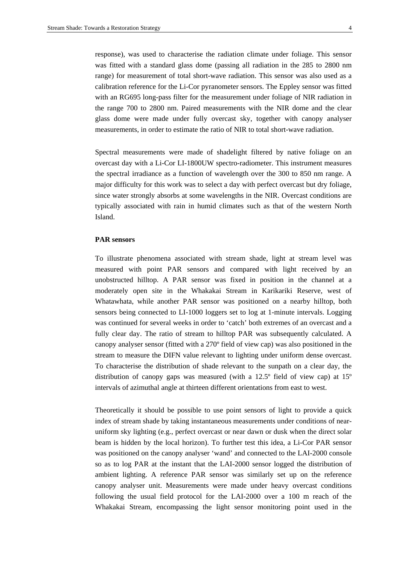response), was used to characterise the radiation climate under foliage. This sensor was fitted with a standard glass dome (passing all radiation in the 285 to 2800 nm range) for measurement of total short-wave radiation. This sensor was also used as a calibration reference for the Li-Cor pyranometer sensors. The Eppley sensor was fitted with an RG695 long-pass filter for the measurement under foliage of NIR radiation in the range 700 to 2800 nm. Paired measurements with the NIR dome and the clear glass dome were made under fully overcast sky, together with canopy analyser measurements, in order to estimate the ratio of NIR to total short-wave radiation.

Spectral measurements were made of shadelight filtered by native foliage on an overcast day with a Li-Cor LI-1800UW spectro-radiometer. This instrument measures the spectral irradiance as a function of wavelength over the 300 to 850 nm range. A major difficulty for this work was to select a day with perfect overcast but dry foliage, since water strongly absorbs at some wavelengths in the NIR. Overcast conditions are typically associated with rain in humid climates such as that of the western North Island.

# **PAR sensors**

To illustrate phenomena associated with stream shade, light at stream level was measured with point PAR sensors and compared with light received by an unobstructed hilltop. A PAR sensor was fixed in position in the channel at a moderately open site in the Whakakai Stream in Karikariki Reserve, west of Whatawhata, while another PAR sensor was positioned on a nearby hilltop, both sensors being connected to LI-1000 loggers set to log at 1-minute intervals. Logging was continued for several weeks in order to 'catch' both extremes of an overcast and a fully clear day. The ratio of stream to hilltop PAR was subsequently calculated. A canopy analyser sensor (fitted with a 270º field of view cap) was also positioned in the stream to measure the DIFN value relevant to lighting under uniform dense overcast. To characterise the distribution of shade relevant to the sunpath on a clear day, the distribution of canopy gaps was measured (with a 12.5º field of view cap) at 15º intervals of azimuthal angle at thirteen different orientations from east to west.

Theoretically it should be possible to use point sensors of light to provide a quick index of stream shade by taking instantaneous measurements under conditions of nearuniform sky lighting (e.g., perfect overcast or near dawn or dusk when the direct solar beam is hidden by the local horizon). To further test this idea, a Li-Cor PAR sensor was positioned on the canopy analyser 'wand' and connected to the LAI-2000 console so as to log PAR at the instant that the LAI-2000 sensor logged the distribution of ambient lighting. A reference PAR sensor was similarly set up on the reference canopy analyser unit. Measurements were made under heavy overcast conditions following the usual field protocol for the LAI-2000 over a 100 m reach of the Whakakai Stream, encompassing the light sensor monitoring point used in the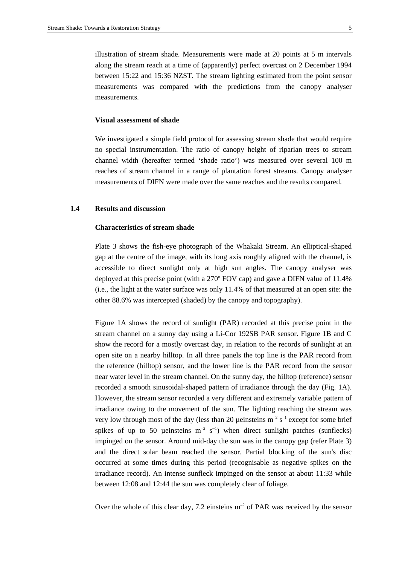illustration of stream shade. Measurements were made at 20 points at 5 m intervals along the stream reach at a time of (apparently) perfect overcast on 2 December 1994 between 15:22 and 15:36 NZST. The stream lighting estimated from the point sensor measurements was compared with the predictions from the canopy analyser measurements.

#### **Visual assessment of shade**

We investigated a simple field protocol for assessing stream shade that would require no special instrumentation. The ratio of canopy height of riparian trees to stream channel width (hereafter termed 'shade ratio') was measured over several 100 m reaches of stream channel in a range of plantation forest streams. Canopy analyser measurements of DIFN were made over the same reaches and the results compared.

# **1.4 Results and discussion**

#### **Characteristics of stream shade**

Plate 3 shows the fish-eye photograph of the Whakaki Stream. An elliptical-shaped gap at the centre of the image, with its long axis roughly aligned with the channel, is accessible to direct sunlight only at high sun angles. The canopy analyser was deployed at this precise point (with a 270º FOV cap) and gave a DIFN value of 11.4% (i.e., the light at the water surface was only 11.4% of that measured at an open site: the other 88.6% was intercepted (shaded) by the canopy and topography).

Figure 1A shows the record of sunlight (PAR) recorded at this precise point in the stream channel on a sunny day using a Li-Cor 192SB PAR sensor. Figure 1B and C show the record for a mostly overcast day, in relation to the records of sunlight at an open site on a nearby hilltop. In all three panels the top line is the PAR record from the reference (hilltop) sensor, and the lower line is the PAR record from the sensor near water level in the stream channel. On the sunny day, the hilltop (reference) sensor recorded a smooth sinusoidal-shaped pattern of irradiance through the day (Fig. 1A). However, the stream sensor recorded a very different and extremely variable pattern of irradiance owing to the movement of the sun. The lighting reaching the stream was very low through most of the day (less than 20 µeinsteins  $m^{-2} s^{-1}$  except for some brief spikes of up to 50 µeinsteins  $m^{-2}$  s<sup>-1</sup>) when direct sunlight patches (sunflecks) impinged on the sensor. Around mid-day the sun was in the canopy gap (refer Plate 3) and the direct solar beam reached the sensor. Partial blocking of the sun's disc occurred at some times during this period (recognisable as negative spikes on the irradiance record). An intense sunfleck impinged on the sensor at about 11:33 while between 12:08 and 12:44 the sun was completely clear of foliage.

Over the whole of this clear day, 7.2 einsteins  $m^{-2}$  of PAR was received by the sensor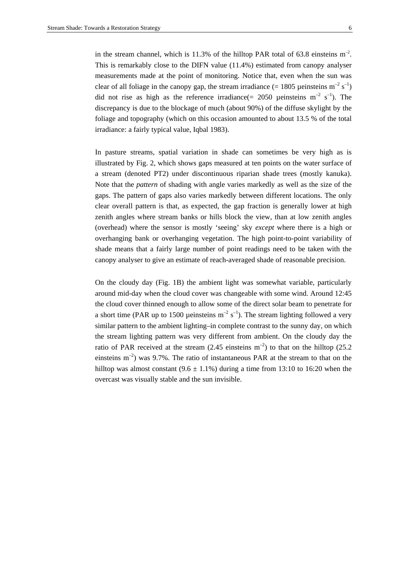in the stream channel, which is 11.3% of the hilltop PAR total of 63.8 einsteins  $m<sup>-2</sup>$ . This is remarkably close to the DIFN value (11.4%) estimated from canopy analyser measurements made at the point of monitoring. Notice that, even when the sun was clear of all foliage in the canopy gap, the stream irradiance (= 1805 ueinsteins  $m^{-2} s^{-1}$ ) did not rise as high as the reference irradiance  $(= 2050 \text{ )}$  ueinsteins m<sup>-2</sup> s<sup>-1</sup>). The discrepancy is due to the blockage of much (about 90%) of the diffuse skylight by the foliage and topography (which on this occasion amounted to about 13.5 % of the total irradiance: a fairly typical value, Iqbal 1983).

In pasture streams, spatial variation in shade can sometimes be very high as is illustrated by Fig. 2, which shows gaps measured at ten points on the water surface of a stream (denoted PT2) under discontinuous riparian shade trees (mostly kanuka). Note that the *pattern* of shading with angle varies markedly as well as the size of the gaps. The pattern of gaps also varies markedly between different locations. The only clear overall pattern is that, as expected, the gap fraction is generally lower at high zenith angles where stream banks or hills block the view, than at low zenith angles (overhead) where the sensor is mostly 'seeing' sky *except* where there is a high or overhanging bank or overhanging vegetation. The high point-to-point variability of shade means that a fairly large number of point readings need to be taken with the canopy analyser to give an estimate of reach-averaged shade of reasonable precision.

On the cloudy day (Fig. 1B) the ambient light was somewhat variable, particularly around mid-day when the cloud cover was changeable with some wind. Around 12:45 the cloud cover thinned enough to allow some of the direct solar beam to penetrate for a short time (PAR up to 1500 µeinsteins  $m^{-2} s^{-1}$ ). The stream lighting followed a very similar pattern to the ambient lighting–in complete contrast to the sunny day, on which the stream lighting pattern was very different from ambient. On the cloudy day the ratio of PAR received at the stream  $(2.45 \text{ einstein s m}^{-2})$  to that on the hilltop  $(25.2 \text{ m})$ einsteins  $m^{-2}$ ) was 9.7%. The ratio of instantaneous PAR at the stream to that on the hilltop was almost constant  $(9.6 \pm 1.1\%)$  during a time from 13:10 to 16:20 when the overcast was visually stable and the sun invisible.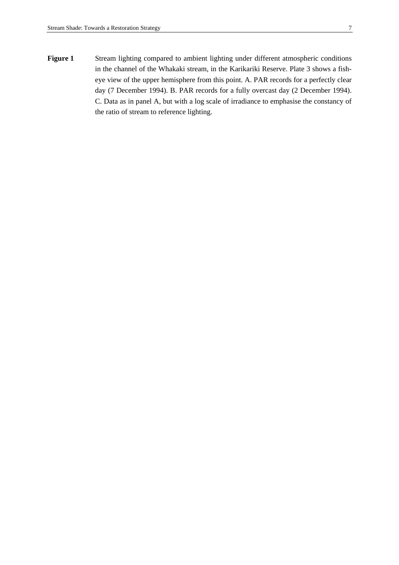Figure 1 Stream lighting compared to ambient lighting under different atmospheric conditions in the channel of the Whakaki stream, in the Karikariki Reserve. Plate 3 shows a fisheye view of the upper hemisphere from this point. A. PAR records for a perfectly clear day (7 December 1994). B. PAR records for a fully overcast day (2 December 1994). C. Data as in panel A, but with a log scale of irradiance to emphasise the constancy of the ratio of stream to reference lighting.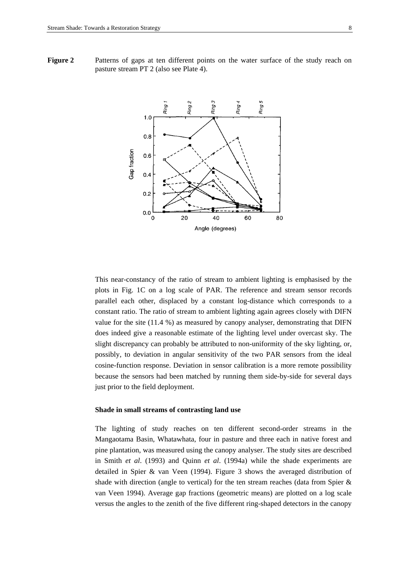**Figure 2** Patterns of gaps at ten different points on the water surface of the study reach on pasture stream PT 2 (also see Plate 4).



This near-constancy of the ratio of stream to ambient lighting is emphasised by the plots in Fig. 1C on a log scale of PAR. The reference and stream sensor records parallel each other, displaced by a constant log-distance which corresponds to a constant ratio. The ratio of stream to ambient lighting again agrees closely with DIFN value for the site (11.4 %) as measured by canopy analyser, demonstrating that DIFN does indeed give a reasonable estimate of the lighting level under overcast sky. The slight discrepancy can probably be attributed to non-uniformity of the sky lighting, or, possibly, to deviation in angular sensitivity of the two PAR sensors from the ideal cosine-function response. Deviation in sensor calibration is a more remote possibility because the sensors had been matched by running them side-by-side for several days just prior to the field deployment.

#### **Shade in small streams of contrasting land use**

The lighting of study reaches on ten different second-order streams in the Mangaotama Basin, Whatawhata, four in pasture and three each in native forest and pine plantation, was measured using the canopy analyser. The study sites are described in Smith *et al*. (1993) and Quinn *et al*. (1994a) while the shade experiments are detailed in Spier & van Veen (1994). Figure 3 shows the averaged distribution of shade with direction (angle to vertical) for the ten stream reaches (data from Spier  $\&$ van Veen 1994). Average gap fractions (geometric means) are plotted on a log scale versus the angles to the zenith of the five different ring-shaped detectors in the canopy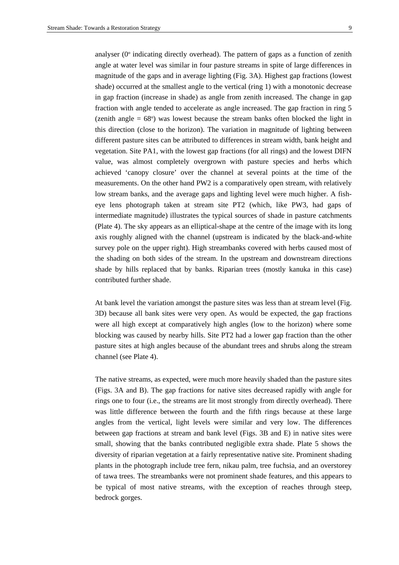analyser (0º indicating directly overhead). The pattern of gaps as a function of zenith angle at water level was similar in four pasture streams in spite of large differences in magnitude of the gaps and in average lighting (Fig. 3A). Highest gap fractions (lowest shade) occurred at the smallest angle to the vertical (ring 1) with a monotonic decrease in gap fraction (increase in shade) as angle from zenith increased. The change in gap fraction with angle tended to accelerate as angle increased. The gap fraction in ring 5 (zenith angle  $= 68^{\circ}$ ) was lowest because the stream banks often blocked the light in this direction (close to the horizon). The variation in magnitude of lighting between different pasture sites can be attributed to differences in stream width, bank height and vegetation. Site PA1, with the lowest gap fractions (for all rings) and the lowest DIFN value, was almost completely overgrown with pasture species and herbs which achieved 'canopy closure' over the channel at several points at the time of the measurements. On the other hand PW2 is a comparatively open stream, with relatively low stream banks, and the average gaps and lighting level were much higher. A fisheye lens photograph taken at stream site PT2 (which, like PW3, had gaps of intermediate magnitude) illustrates the typical sources of shade in pasture catchments (Plate 4). The sky appears as an elliptical-shape at the centre of the image with its long axis roughly aligned with the channel (upstream is indicated by the black-and-white survey pole on the upper right). High streambanks covered with herbs caused most of the shading on both sides of the stream. In the upstream and downstream directions shade by hills replaced that by banks. Riparian trees (mostly kanuka in this case) contributed further shade.

At bank level the variation amongst the pasture sites was less than at stream level (Fig. 3D) because all bank sites were very open. As would be expected, the gap fractions were all high except at comparatively high angles (low to the horizon) where some blocking was caused by nearby hills. Site PT2 had a lower gap fraction than the other pasture sites at high angles because of the abundant trees and shrubs along the stream channel (see Plate 4).

The native streams, as expected, were much more heavily shaded than the pasture sites (Figs. 3A and B). The gap fractions for native sites decreased rapidly with angle for rings one to four (i.e., the streams are lit most strongly from directly overhead). There was little difference between the fourth and the fifth rings because at these large angles from the vertical, light levels were similar and very low. The differences between gap fractions at stream and bank level (Figs. 3B and E) in native sites were small, showing that the banks contributed negligible extra shade. Plate 5 shows the diversity of riparian vegetation at a fairly representative native site. Prominent shading plants in the photograph include tree fern, nikau palm, tree fuchsia, and an overstorey of tawa trees. The streambanks were not prominent shade features, and this appears to be typical of most native streams, with the exception of reaches through steep, bedrock gorges.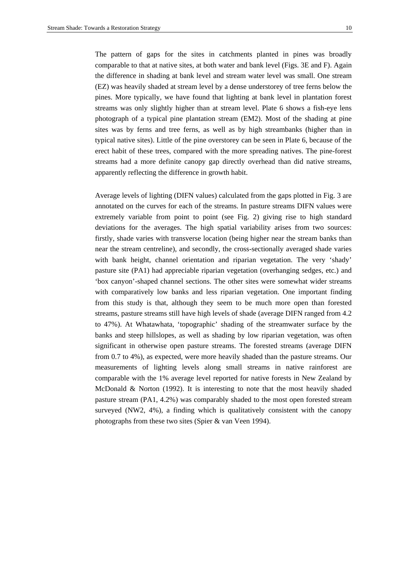The pattern of gaps for the sites in catchments planted in pines was broadly comparable to that at native sites, at both water and bank level (Figs. 3E and F). Again the difference in shading at bank level and stream water level was small. One stream (EZ) was heavily shaded at stream level by a dense understorey of tree ferns below the pines. More typically, we have found that lighting at bank level in plantation forest streams was only slightly higher than at stream level. Plate 6 shows a fish-eye lens photograph of a typical pine plantation stream (EM2). Most of the shading at pine sites was by ferns and tree ferns, as well as by high streambanks (higher than in typical native sites). Little of the pine overstorey can be seen in Plate 6, because of the erect habit of these trees, compared with the more spreading natives. The pine-forest streams had a more definite canopy gap directly overhead than did native streams, apparently reflecting the difference in growth habit.

Average levels of lighting (DIFN values) calculated from the gaps plotted in Fig. 3 are annotated on the curves for each of the streams. In pasture streams DIFN values were extremely variable from point to point (see Fig. 2) giving rise to high standard deviations for the averages. The high spatial variability arises from two sources: firstly, shade varies with transverse location (being higher near the stream banks than near the stream centreline), and secondly, the cross-sectionally averaged shade varies with bank height, channel orientation and riparian vegetation. The very 'shady' pasture site (PA1) had appreciable riparian vegetation (overhanging sedges, etc.) and 'box canyon'-shaped channel sections. The other sites were somewhat wider streams with comparatively low banks and less riparian vegetation. One important finding from this study is that, although they seem to be much more open than forested streams, pasture streams still have high levels of shade (average DIFN ranged from 4.2 to 47%). At Whatawhata, 'topographic' shading of the streamwater surface by the banks and steep hillslopes, as well as shading by low riparian vegetation, was often significant in otherwise open pasture streams. The forested streams (average DIFN from 0.7 to 4%), as expected, were more heavily shaded than the pasture streams. Our measurements of lighting levels along small streams in native rainforest are comparable with the 1% average level reported for native forests in New Zealand by McDonald & Norton (1992). It is interesting to note that the most heavily shaded pasture stream (PA1, 4.2%) was comparably shaded to the most open forested stream surveyed (NW2, 4%), a finding which is qualitatively consistent with the canopy photographs from these two sites (Spier & van Veen 1994).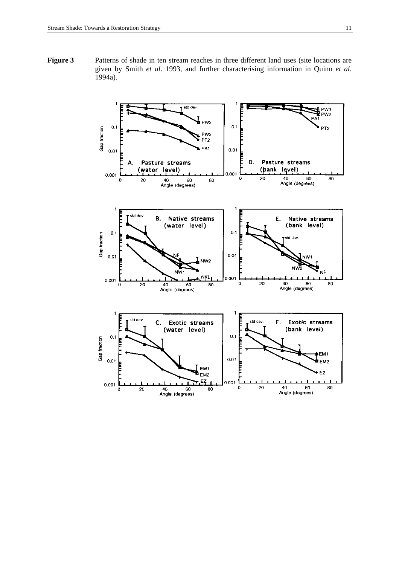Figure 3 Patterns of shade in ten stream reaches in three different land uses (site locations are given by Smith *et al*. 1993, and further characterising information in Quinn *et al*. 1994a).

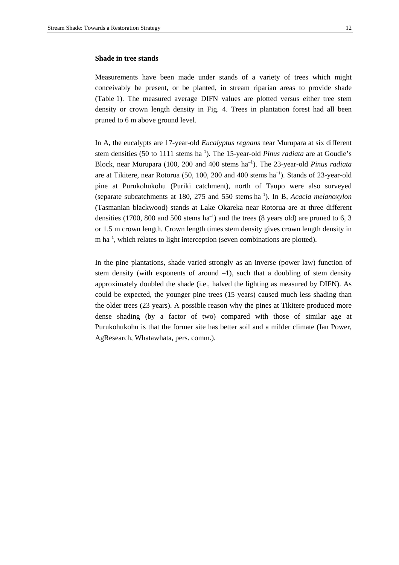#### **Shade in tree stands**

Measurements have been made under stands of a variety of trees which might conceivably be present, or be planted, in stream riparian areas to provide shade (Table 1). The measured average DIFN values are plotted versus either tree stem density or crown length density in Fig. 4. Trees in plantation forest had all been pruned to 6 m above ground level.

In A, the eucalypts are 17-year-old *Eucalyptus regnans* near Murupara at six different stem densities (50 to 1111 stems ha<sup>-1</sup>). The 15-year-old *Pinus radiata* are at Goudie's Block, near Murupara (100, 200 and 400 stems ha–1). The 23-year-old *Pinus radiata*  are at Tikitere, near Rotorua (50, 100, 200 and 400 stems ha<sup>-1</sup>). Stands of 23-year-old pine at Purukohukohu (Puriki catchment), north of Taupo were also surveyed (separate subcatchments at 180, 275 and 550 stems ha–1). In B, *Acacia melanoxylon* (Tasmanian blackwood) stands at Lake Okareka near Rotorua are at three different densities (1700, 800 and 500 stems  $ha^{-1}$ ) and the trees (8 years old) are pruned to 6, 3 or 1.5 m crown length. Crown length times stem density gives crown length density in  $m$  ha<sup>-1</sup>, which relates to light interception (seven combinations are plotted).

In the pine plantations, shade varied strongly as an inverse (power law) function of stem density (with exponents of around  $-1$ ), such that a doubling of stem density approximately doubled the shade (i.e., halved the lighting as measured by DIFN). As could be expected, the younger pine trees (15 years) caused much less shading than the older trees (23 years). A possible reason why the pines at Tikitere produced more dense shading (by a factor of two) compared with those of similar age at Purukohukohu is that the former site has better soil and a milder climate (Ian Power, AgResearch, Whatawhata, pers. comm.).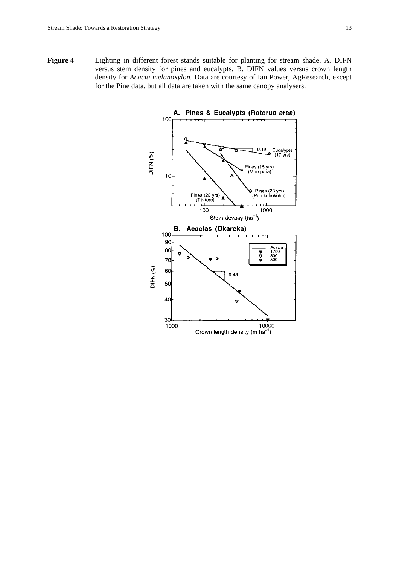**Figure 4** Lighting in different forest stands suitable for planting for stream shade. A. DIFN versus stem density for pines and eucalypts. B. DIFN values versus crown length density for *Acacia melanoxylon.* Data are courtesy of Ian Power, AgResearch, except for the Pine data, but all data are taken with the same canopy analysers.

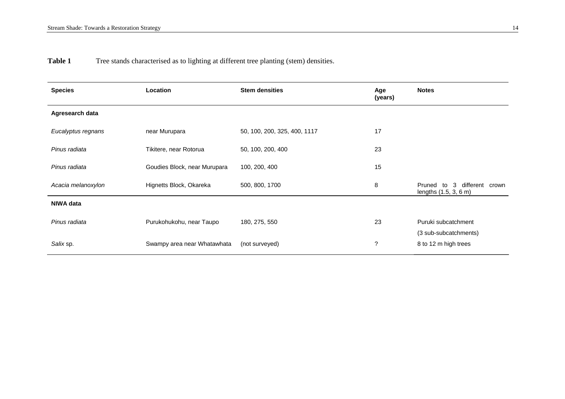Table 1 Tree stands characterised as to lighting at different tree planting (stem) densities.

| <b>Species</b>     | <b>Location</b>              | <b>Stem densities</b>        | Age<br>(years) | <b>Notes</b>                                            |
|--------------------|------------------------------|------------------------------|----------------|---------------------------------------------------------|
| Agresearch data    |                              |                              |                |                                                         |
| Eucalyptus regnans | near Murupara                | 50, 100, 200, 325, 400, 1117 | 17             |                                                         |
| Pinus radiata      | Tikitere, near Rotorua       | 50, 100, 200, 400            | 23             |                                                         |
| Pinus radiata      | Goudies Block, near Murupara | 100, 200, 400                | 15             |                                                         |
| Acacia melanoxylon | Hignetts Block, Okareka      | 500, 800, 1700               | 8              | to 3 different crown<br>Pruned<br>lengths (1.5, 3, 6 m) |
| <b>NIWA data</b>   |                              |                              |                |                                                         |
| Pinus radiata      | Purukohukohu, near Taupo     | 180, 275, 550                | 23             | Puruki subcatchment                                     |
| Salix sp.          | Swampy area near Whatawhata  | (not surveyed)               | ?              | (3 sub-subcatchments)<br>8 to 12 m high trees           |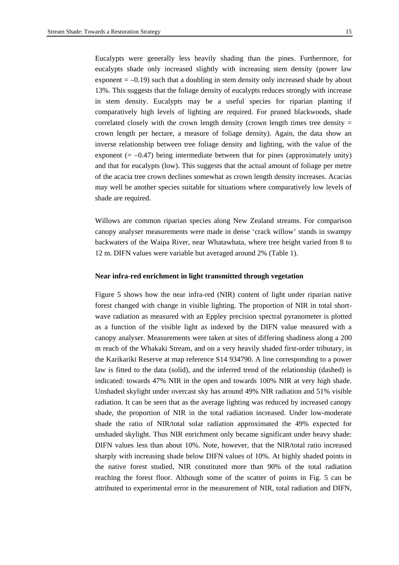Eucalypts were generally less heavily shading than the pines. Furthermore, for eucalypts shade only increased slightly with increasing stem density (power law exponent  $= -0.19$ ) such that a doubling in stem density only increased shade by about 13%. This suggests that the foliage density of eucalypts reduces strongly with increase in stem density. Eucalypts may be a useful species for riparian planting if comparatively high levels of lighting are required. For pruned blackwoods, shade correlated closely with the crown length density (crown length times tree density  $=$ crown length per hectare, a measure of foliage density). Again, the data show an inverse relationship between tree foliage density and lighting, with the value of the exponent  $(=-0.47)$  being intermediate between that for pines (approximately unity) and that for eucalypts (low). This suggests that the actual amount of foliage per metre of the acacia tree crown declines somewhat as crown length density increases. Acacias may well be another species suitable for situations where comparatively low levels of shade are required.

Willows are common riparian species along New Zealand streams. For comparison canopy analyser measurements were made in dense 'crack willow' stands in swampy backwaters of the Waipa River, near Whatawhata, where tree height varied from 8 to 12 m. DIFN values were variable but averaged around 2% (Table 1).

#### **Near infra-red enrichment in light transmitted through vegetation**

Figure 5 shows how the near infra-red (NIR) content of light under riparian native forest changed with change in visible lighting. The proportion of NIR in total shortwave radiation as measured with an Eppley precision spectral pyranometer is plotted as a function of the visible light as indexed by the DIFN value measured with a canopy analyser. Measurements were taken at sites of differing shadiness along a 200 m reach of the Whakaki Stream, and on a very heavily shaded first-order tributary, in the Karikariki Reserve at map reference S14 934790. A line corresponding to a power law is fitted to the data (solid), and the inferred trend of the relationship (dashed) is indicated: towards 47% NIR in the open and towards 100% NIR at very high shade. Unshaded skylight under overcast sky has around 49% NIR radiation and 51% visible radiation. It can be seen that as the average lighting was reduced by increased canopy shade, the proportion of NIR in the total radiation increased. Under low-moderate shade the ratio of NIR/total solar radiation approximated the 49% expected for unshaded skylight. Thus NIR enrichment only became significant under heavy shade: DIFN values less than about 10%. Note, however, that the NIR/total ratio increased sharply with increasing shade below DIFN values of 10%. At highly shaded points in the native forest studied, NIR constituted more than 90% of the total radiation reaching the forest floor. Although some of the scatter of points in Fig. 5 can be attributed to experimental error in the measurement of NIR, total radiation and DIFN,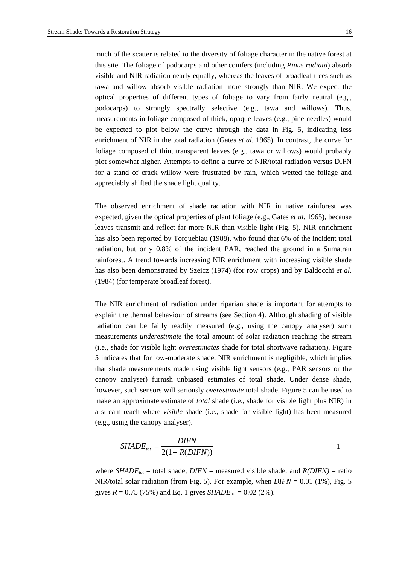much of the scatter is related to the diversity of foliage character in the native forest at this site. The foliage of podocarps and other conifers (including *Pinus radiata*) absorb visible and NIR radiation nearly equally, whereas the leaves of broadleaf trees such as tawa and willow absorb visible radiation more strongly than NIR. We expect the optical properties of different types of foliage to vary from fairly neutral (e.g., podocarps) to strongly spectrally selective (e.g., tawa and willows). Thus, measurements in foliage composed of thick, opaque leaves (e.g., pine needles) would be expected to plot below the curve through the data in Fig. 5, indicating less enrichment of NIR in the total radiation (Gates *et al.* 1965). In contrast, the curve for foliage composed of thin, transparent leaves (e.g., tawa or willows) would probably plot somewhat higher. Attempts to define a curve of NIR/total radiation versus DIFN for a stand of crack willow were frustrated by rain, which wetted the foliage and appreciably shifted the shade light quality.

The observed enrichment of shade radiation with NIR in native rainforest was expected, given the optical properties of plant foliage (e.g., Gates *et al*. 1965), because leaves transmit and reflect far more NIR than visible light (Fig. 5). NIR enrichment has also been reported by Torquebiau (1988), who found that 6% of the incident total radiation, but only 0.8% of the incident PAR, reached the ground in a Sumatran rainforest. A trend towards increasing NIR enrichment with increasing visible shade has also been demonstrated by Szeicz (1974) (for row crops) and by Baldocchi *et al.* (1984) (for temperate broadleaf forest).

The NIR enrichment of radiation under riparian shade is important for attempts to explain the thermal behaviour of streams (see Section 4). Although shading of visible radiation can be fairly readily measured (e.g., using the canopy analyser) such measurements *underestimate* the total amount of solar radiation reaching the stream (i.e., shade for visible light *overestimates* shade for total shortwave radiation). Figure 5 indicates that for low-moderate shade, NIR enrichment is negligible, which implies that shade measurements made using visible light sensors (e.g., PAR sensors or the canopy analyser) furnish unbiased estimates of total shade. Under dense shade, however, such sensors will seriously *overestimate* total shade. Figure 5 can be used to make an approximate estimate of *total* shade (i.e., shade for visible light plus NIR) in a stream reach where *visible* shade (i.e., shade for visible light) has been measured (e.g., using the canopy analyser).

$$
SHADE_{tot} = \frac{DIFN}{2(1 - R(DIFN))}
$$

where *SHADE<sub>tot</sub>* = total shade; *DIFN* = measured visible shade; and  $R(DIFN)$  = ratio NIR/total solar radiation (from Fig. 5). For example, when *DIFN* = 0.01 (1%), Fig. 5 gives  $R = 0.75$  (75%) and Eq. 1 gives *SHADE<sub>tot</sub>* = 0.02 (2%).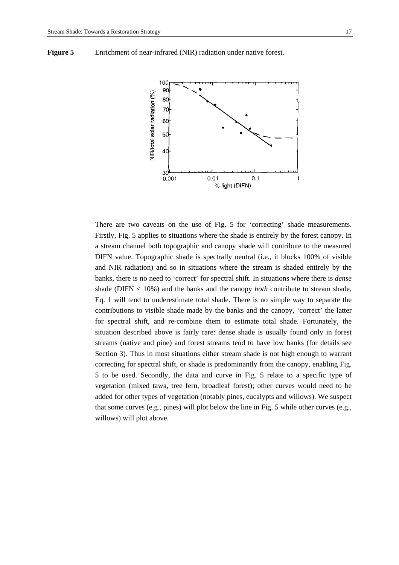

**Figure 5** Enrichment of near-infrared (NIR) radiation under native forest.

There are two caveats on the use of Fig. 5 for 'correcting' shade measurements. Firstly, Fig. 5 applies to situations where the shade is entirely by the forest canopy. In a stream channel both topographic and canopy shade will contribute to the measured DIFN value. Topographic shade is spectrally neutral (i.e., it blocks 100% of visible and NIR radiation) and so in situations where the stream is shaded entirely by the banks, there is no need to 'correct' for spectral shift. In situations where there is *dense* shade (DIFN < 10%) and the banks and the canopy *both* contribute to stream shade, Eq. 1 will tend to underestimate total shade. There is no simple way to separate the contributions to visible shade made by the banks and the canopy, 'correct' the latter for spectral shift, and re-combine them to estimate total shade. Fortunately, the situation described above is fairly rare: dense shade is usually found only in forest streams (native and pine) and forest streams tend to have low banks (for details see Section 3). Thus in most situations either stream shade is not high enough to warrant correcting for spectral shift, or shade is predominantly from the canopy, enabling Fig. 5 to be used. Secondly, the data and curve in Fig. 5 relate to a specific type of vegetation (mixed tawa, tree fern, broadleaf forest); other curves would need to be added for other types of vegetation (notably pines, eucalypts and willows). We suspect that some curves (e.g., pines) will plot below the line in Fig. 5 while other curves (e.g., willows) will plot above.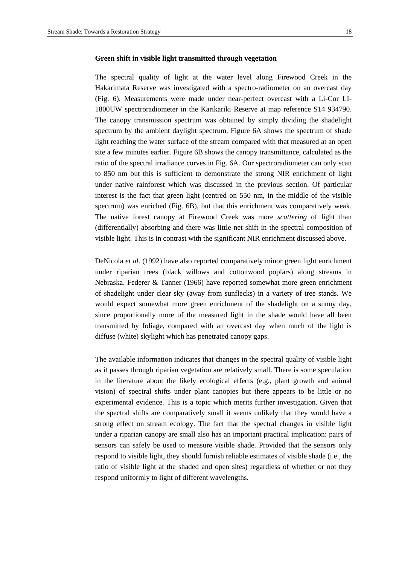# **Green shift in visible light transmitted through vegetation**

The spectral quality of light at the water level along Firewood Creek in the Hakarimata Reserve was investigated with a spectro-radiometer on an overcast day (Fig. 6). Measurements were made under near-perfect overcast with a Li-Cor LI-1800UW spectroradiometer in the Karikariki Reserve at map reference S14 934790. The canopy transmission spectrum was obtained by simply dividing the shadelight spectrum by the ambient daylight spectrum. Figure 6A shows the spectrum of shade light reaching the water surface of the stream compared with that measured at an open site a few minutes earlier. Figure 6B shows the canopy transmittance, calculated as the ratio of the spectral irradiance curves in Fig. 6A. Our spectroradiometer can only scan to 850 nm but this is sufficient to demonstrate the strong NIR enrichment of light under native rainforest which was discussed in the previous section. Of particular interest is the fact that green light (centred on 550 nm, in the middle of the visible spectrum) was enriched (Fig. 6B), but that this enrichment was comparatively weak. The native forest canopy at Firewood Creek was more *scattering* of light than (differentially) absorbing and there was little net shift in the spectral composition of visible light. This is in contrast with the significant NIR enrichment discussed above.

DeNicola *et al*. (1992) have also reported comparatively minor green light enrichment under riparian trees (black willows and cottonwood poplars) along streams in Nebraska. Federer & Tanner (1966) have reported somewhat more green enrichment of shadelight under clear sky (away from sunflecks) in a variety of tree stands. We would expect somewhat more green enrichment of the shadelight on a sunny day, since proportionally more of the measured light in the shade would have all been transmitted by foliage, compared with an overcast day when much of the light is diffuse (white) skylight which has penetrated canopy gaps.

The available information indicates that changes in the spectral quality of visible light as it passes through riparian vegetation are relatively small. There is some speculation in the literature about the likely ecological effects (e.g., plant growth and animal vision) of spectral shifts under plant canopies but there appears to be little or no experimental evidence. This is a topic which merits further investigation. Given that the spectral shifts are comparatively small it seems unlikely that they would have a strong effect on stream ecology. The fact that the spectral changes in visible light under a riparian canopy are small also has an important practical implication: pairs of sensors can safely be used to measure visible shade. Provided that the sensors only respond to visible light, they should furnish reliable estimates of visible shade (i.e., the ratio of visible light at the shaded and open sites) regardless of whether or not they respond uniformly to light of different wavelengths.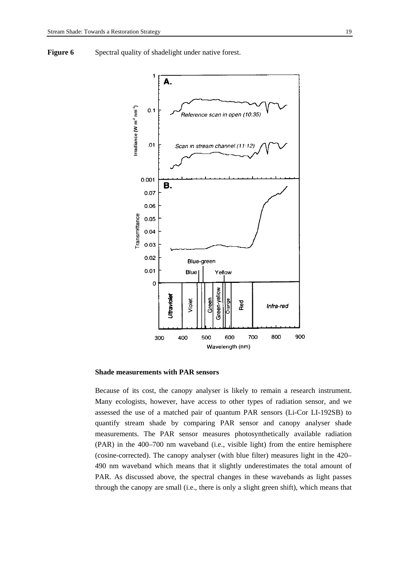**Figure 6** Spectral quality of shadelight under native forest.



#### **Shade measurements with PAR sensors**

Because of its cost, the canopy analyser is likely to remain a research instrument. Many ecologists, however, have access to other types of radiation sensor, and we assessed the use of a matched pair of quantum PAR sensors (Li-Cor LI-192SB) to quantify stream shade by comparing PAR sensor and canopy analyser shade measurements. The PAR sensor measures photosynthetically available radiation (PAR) in the 400–700 nm waveband (i.e., visible light) from the entire hemisphere (cosine-corrected). The canopy analyser (with blue filter) measures light in the 420– 490 nm waveband which means that it slightly underestimates the total amount of PAR. As discussed above, the spectral changes in these wavebands as light passes through the canopy are small (i.e., there is only a slight green shift), which means that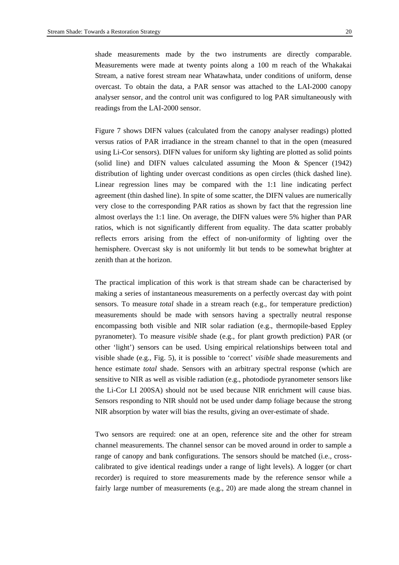shade measurements made by the two instruments are directly comparable. Measurements were made at twenty points along a 100 m reach of the Whakakai Stream, a native forest stream near Whatawhata, under conditions of uniform, dense overcast. To obtain the data, a PAR sensor was attached to the LAI-2000 canopy analyser sensor, and the control unit was configured to log PAR simultaneously with readings from the LAI-2000 sensor.

Figure 7 shows DIFN values (calculated from the canopy analyser readings) plotted versus ratios of PAR irradiance in the stream channel to that in the open (measured using Li-Cor sensors). DIFN values for uniform sky lighting are plotted as solid points (solid line) and DIFN values calculated assuming the Moon & Spencer (1942) distribution of lighting under overcast conditions as open circles (thick dashed line). Linear regression lines may be compared with the 1:1 line indicating perfect agreement (thin dashed line). In spite of some scatter, the DIFN values are numerically very close to the corresponding PAR ratios as shown by fact that the regression line almost overlays the 1:1 line. On average, the DIFN values were 5% higher than PAR ratios, which is not significantly different from equality. The data scatter probably reflects errors arising from the effect of non-uniformity of lighting over the hemisphere. Overcast sky is not uniformly lit but tends to be somewhat brighter at zenith than at the horizon.

The practical implication of this work is that stream shade can be characterised by making a series of instantaneous measurements on a perfectly overcast day with point sensors. To measure *total* shade in a stream reach (e.g., for temperature prediction) measurements should be made with sensors having a spectrally neutral response encompassing both visible and NIR solar radiation (e.g., thermopile-based Eppley pyranometer). To measure *visible* shade (e.g., for plant growth prediction) PAR (or other 'light') sensors can be used. Using empirical relationships between total and visible shade (e.g., Fig. 5), it is possible to 'correct' *visible* shade measurements and hence estimate *total* shade. Sensors with an arbitrary spectral response (which are sensitive to NIR as well as visible radiation (e.g., photodiode pyranometer sensors like the Li-Cor LI 200SA) should not be used because NIR enrichment will cause bias. Sensors responding to NIR should not be used under damp foliage because the strong NIR absorption by water will bias the results, giving an over-estimate of shade.

Two sensors are required: one at an open, reference site and the other for stream channel measurements. The channel sensor can be moved around in order to sample a range of canopy and bank configurations. The sensors should be matched (i.e., crosscalibrated to give identical readings under a range of light levels). A logger (or chart recorder) is required to store measurements made by the reference sensor while a fairly large number of measurements  $(e.g., 20)$  are made along the stream channel in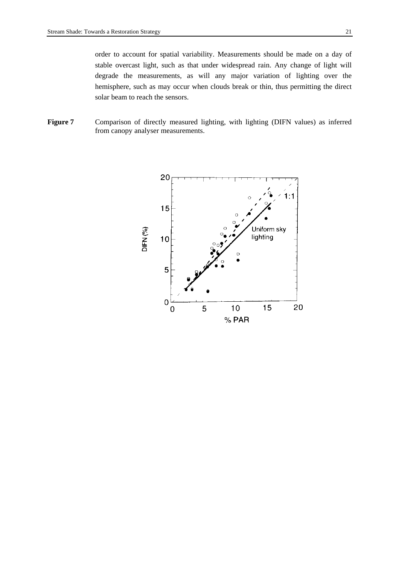order to account for spatial variability. Measurements should be made on a day of stable overcast light, such as that under widespread rain. Any change of light will degrade the measurements, as will any major variation of lighting over the hemisphere, such as may occur when clouds break or thin, thus permitting the direct solar beam to reach the sensors.

Figure 7 Comparison of directly measured lighting, with lighting (DIFN values) as inferred from canopy analyser measurements.

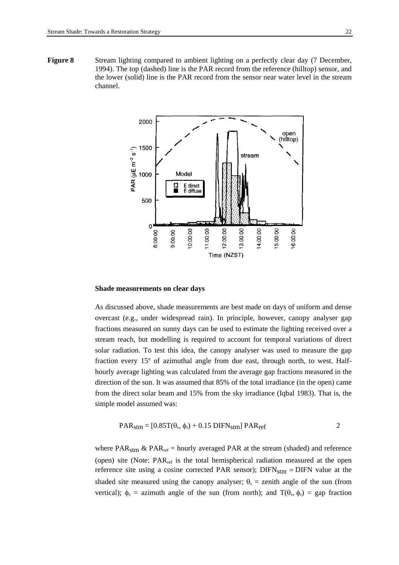**Figure 8** Stream lighting compared to ambient lighting on a perfectly clear day (7 December, 1994). The top (dashed) line is the PAR record from the reference (hilltop) sensor, and the lower (solid) line is the PAR record from the sensor near water level in the stream channel.



#### **Shade measurements on clear days**

As discussed above, shade measurements are best made on days of uniform and dense overcast (e.g., under widespread rain). In principle, however, canopy analyser gap fractions measured on sunny days can be used to estimate the lighting received over a stream reach, but modelling is required to account for temporal variations of direct solar radiation. To test this idea, the canopy analyser was used to measure the gap fraction every 15º of azimuthal angle from due east, through north, to west. Halfhourly average lighting was calculated from the average gap fractions measured in the direction of the sun. It was assumed that 85% of the total irradiance (in the open) came from the direct solar beam and 15% from the sky irradiance (Iqbal 1983). That is, the simple model assumed was:

$$
PAR_{\text{stm}} = [0.85T(\theta_s, \phi_s) + 0.15 \text{ DIFN}_{\text{stm}}] \text{ PAR}_{\text{ref}}
$$

where PAR<sub>stm</sub> & PAR<sub>ref</sub> = hourly averaged PAR at the stream (shaded) and reference (open) site (Note:  $PAR_{ref}$  is the total hemispherical radiation measured at the open reference site using a cosine corrected PAR sensor);  $DIFN_{stm} = DIFN$  value at the shaded site measured using the canopy analyser;  $\theta_s$  = zenith angle of the sun (from vertical);  $\phi_s$  = azimuth angle of the sun (from north); and  $T(\theta_s, \phi_s)$  = gap fraction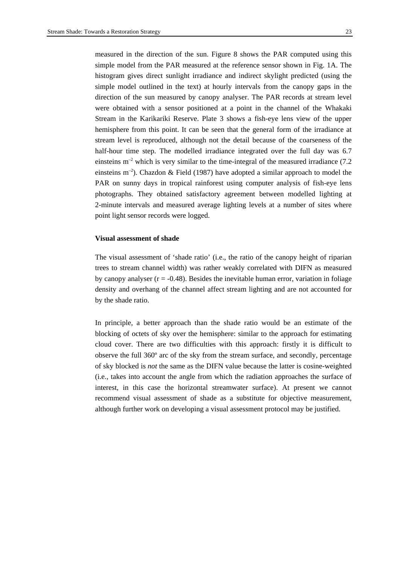measured in the direction of the sun. Figure 8 shows the PAR computed using this simple model from the PAR measured at the reference sensor shown in Fig. 1A. The histogram gives direct sunlight irradiance and indirect skylight predicted (using the simple model outlined in the text) at hourly intervals from the canopy gaps in the direction of the sun measured by canopy analyser. The PAR records at stream level were obtained with a sensor positioned at a point in the channel of the Whakaki Stream in the Karikariki Reserve. Plate 3 shows a fish-eye lens view of the upper hemisphere from this point. It can be seen that the general form of the irradiance at stream level is reproduced, although not the detail because of the coarseness of the half-hour time step. The modelled irradiance integrated over the full day was 6.7 einsteins  $m<sup>-2</sup>$  which is very similar to the time-integral of the measured irradiance (7.2) einsteins  $m^{-2}$ ). Chazdon & Field (1987) have adopted a similar approach to model the PAR on sunny days in tropical rainforest using computer analysis of fish-eye lens photographs. They obtained satisfactory agreement between modelled lighting at 2-minute intervals and measured average lighting levels at a number of sites where point light sensor records were logged.

#### **Visual assessment of shade**

The visual assessment of 'shade ratio' (i.e., the ratio of the canopy height of riparian trees to stream channel width) was rather weakly correlated with DIFN as measured by canopy analyser  $(r = -0.48)$ . Besides the inevitable human error, variation in foliage density and overhang of the channel affect stream lighting and are not accounted for by the shade ratio.

In principle, a better approach than the shade ratio would be an estimate of the blocking of octets of sky over the hemisphere: similar to the approach for estimating cloud cover. There are two difficulties with this approach: firstly it is difficult to observe the full 360º arc of the sky from the stream surface, and secondly, percentage of sky blocked is *not* the same as the DIFN value because the latter is cosine-weighted (i.e., takes into account the angle from which the radiation approaches the surface of interest, in this case the horizontal streamwater surface). At present we cannot recommend visual assessment of shade as a substitute for objective measurement, although further work on developing a visual assessment protocol may be justified.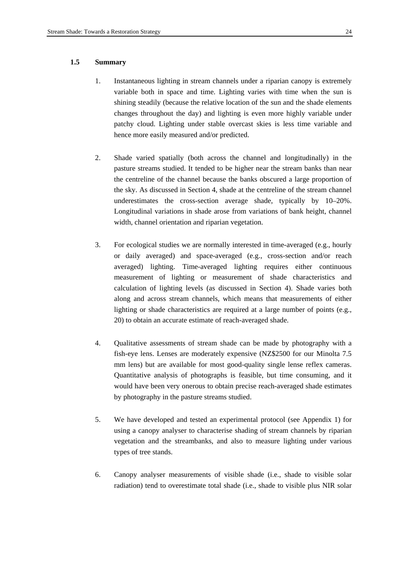# **1.5 Summary**

- 1. Instantaneous lighting in stream channels under a riparian canopy is extremely variable both in space and time. Lighting varies with time when the sun is shining steadily (because the relative location of the sun and the shade elements changes throughout the day) and lighting is even more highly variable under patchy cloud. Lighting under stable overcast skies is less time variable and hence more easily measured and/or predicted.
- 2. Shade varied spatially (both across the channel and longitudinally) in the pasture streams studied. It tended to be higher near the stream banks than near the centreline of the channel because the banks obscured a large proportion of the sky. As discussed in Section 4, shade at the centreline of the stream channel underestimates the cross-section average shade, typically by 10–20%. Longitudinal variations in shade arose from variations of bank height, channel width, channel orientation and riparian vegetation.
- 3. For ecological studies we are normally interested in time-averaged (e.g., hourly or daily averaged) and space-averaged (e.g., cross-section and/or reach averaged) lighting. Time-averaged lighting requires either continuous measurement of lighting or measurement of shade characteristics and calculation of lighting levels (as discussed in Section 4). Shade varies both along and across stream channels, which means that measurements of either lighting or shade characteristics are required at a large number of points (e.g., 20) to obtain an accurate estimate of reach-averaged shade.
- 4. Qualitative assessments of stream shade can be made by photography with a fish-eye lens. Lenses are moderately expensive (NZ\$2500 for our Minolta 7.5 mm lens) but are available for most good-quality single lense reflex cameras. Quantitative analysis of photographs is feasible, but time consuming, and it would have been very onerous to obtain precise reach-averaged shade estimates by photography in the pasture streams studied.
- 5. We have developed and tested an experimental protocol (see Appendix 1) for using a canopy analyser to characterise shading of stream channels by riparian vegetation and the streambanks, and also to measure lighting under various types of tree stands.
- 6. Canopy analyser measurements of visible shade (i.e., shade to visible solar radiation) tend to overestimate total shade (i.e., shade to visible plus NIR solar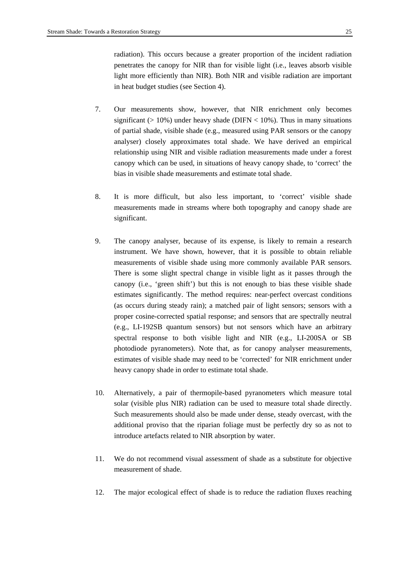radiation). This occurs because a greater proportion of the incident radiation penetrates the canopy for NIR than for visible light (i.e., leaves absorb visible light more efficiently than NIR). Both NIR and visible radiation are important in heat budget studies (see Section 4).

- 7. Our measurements show, however, that NIR enrichment only becomes significant ( $> 10\%$ ) under heavy shade (DIFN  $< 10\%$ ). Thus in many situations of partial shade, visible shade (e.g., measured using PAR sensors or the canopy analyser) closely approximates total shade. We have derived an empirical relationship using NIR and visible radiation measurements made under a forest canopy which can be used, in situations of heavy canopy shade, to 'correct' the bias in visible shade measurements and estimate total shade.
- 8. It is more difficult, but also less important, to 'correct' visible shade measurements made in streams where both topography and canopy shade are significant.
- 9. The canopy analyser, because of its expense, is likely to remain a research instrument. We have shown, however, that it is possible to obtain reliable measurements of visible shade using more commonly available PAR sensors. There is some slight spectral change in visible light as it passes through the canopy (i.e., 'green shift') but this is not enough to bias these visible shade estimates significantly. The method requires: near-perfect overcast conditions (as occurs during steady rain); a matched pair of light sensors; sensors with a proper cosine-corrected spatial response; and sensors that are spectrally neutral (e.g., LI-192SB quantum sensors) but not sensors which have an arbitrary spectral response to both visible light and NIR (e.g., LI-200SA or SB photodiode pyranometers). Note that, as for canopy analyser measurements, estimates of visible shade may need to be 'corrected' for NIR enrichment under heavy canopy shade in order to estimate total shade.
- 10. Alternatively, a pair of thermopile-based pyranometers which measure total solar (visible plus NIR) radiation can be used to measure total shade directly. Such measurements should also be made under dense, steady overcast, with the additional proviso that the riparian foliage must be perfectly dry so as not to introduce artefacts related to NIR absorption by water.
- 11. We do not recommend visual assessment of shade as a substitute for objective measurement of shade.
- 12. The major ecological effect of shade is to reduce the radiation fluxes reaching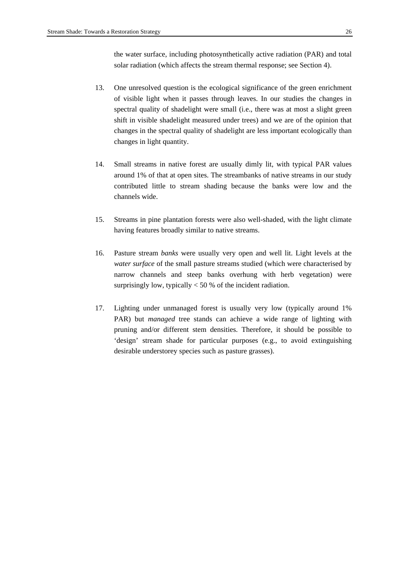the water surface, including photosynthetically active radiation (PAR) and total solar radiation (which affects the stream thermal response; see Section 4).

- 13. One unresolved question is the ecological significance of the green enrichment of visible light when it passes through leaves. In our studies the changes in spectral quality of shadelight were small (i.e., there was at most a slight green shift in visible shadelight measured under trees) and we are of the opinion that changes in the spectral quality of shadelight are less important ecologically than changes in light quantity.
- 14. Small streams in native forest are usually dimly lit, with typical PAR values around 1% of that at open sites. The streambanks of native streams in our study contributed little to stream shading because the banks were low and the channels wide.
- 15. Streams in pine plantation forests were also well-shaded, with the light climate having features broadly similar to native streams.
- 16. Pasture stream *banks* were usually very open and well lit. Light levels at the *water surface* of the small pasture streams studied (which were characterised by narrow channels and steep banks overhung with herb vegetation) were surprisingly low, typically < 50 % of the incident radiation.
- 17. Lighting under unmanaged forest is usually very low (typically around 1% PAR) but *managed* tree stands can achieve a wide range of lighting with pruning and/or different stem densities. Therefore, it should be possible to 'design' stream shade for particular purposes (e.g., to avoid extinguishing desirable understorey species such as pasture grasses).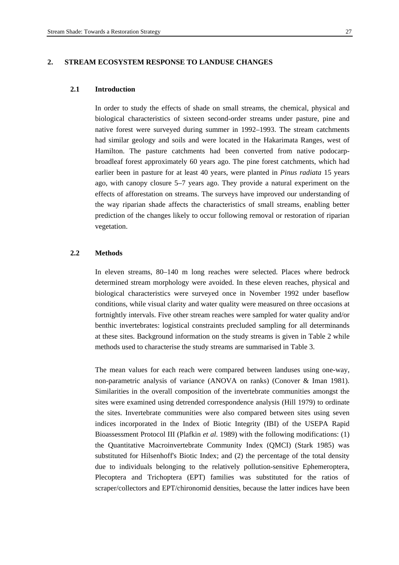# **2. STREAM ECOSYSTEM RESPONSE TO LANDUSE CHANGES**

#### **2.1 Introduction**

In order to study the effects of shade on small streams, the chemical, physical and biological characteristics of sixteen second-order streams under pasture, pine and native forest were surveyed during summer in 1992–1993. The stream catchments had similar geology and soils and were located in the Hakarimata Ranges, west of Hamilton. The pasture catchments had been converted from native podocarpbroadleaf forest approximately 60 years ago. The pine forest catchments, which had earlier been in pasture for at least 40 years, were planted in *Pinus radiata* 15 years ago, with canopy closure 5–7 years ago. They provide a natural experiment on the effects of afforestation on streams. The surveys have improved our understanding of the way riparian shade affects the characteristics of small streams, enabling better prediction of the changes likely to occur following removal or restoration of riparian vegetation.

# **2.2 Methods**

In eleven streams, 80–140 m long reaches were selected. Places where bedrock determined stream morphology were avoided. In these eleven reaches, physical and biological characteristics were surveyed once in November 1992 under baseflow conditions, while visual clarity and water quality were measured on three occasions at fortnightly intervals. Five other stream reaches were sampled for water quality and/or benthic invertebrates: logistical constraints precluded sampling for all determinands at these sites. Background information on the study streams is given in Table 2 while methods used to characterise the study streams are summarised in Table 3.

The mean values for each reach were compared between landuses using one-way, non-parametric analysis of variance (ANOVA on ranks) (Conover & Iman 1981). Similarities in the overall composition of the invertebrate communities amongst the sites were examined using detrended correspondence analysis (Hill 1979) to ordinate the sites. Invertebrate communities were also compared between sites using seven indices incorporated in the Index of Biotic Integrity (IBI) of the USEPA Rapid Bioassessment Protocol III (Plafkin *et al*. 1989) with the following modifications: (1) the Quantitative Macroinvertebrate Community Index (QMCI) (Stark 1985) was substituted for Hilsenhoff's Biotic Index; and (2) the percentage of the total density due to individuals belonging to the relatively pollution-sensitive Ephemeroptera, Plecoptera and Trichoptera (EPT) families was substituted for the ratios of scraper/collectors and EPT/chironomid densities, because the latter indices have been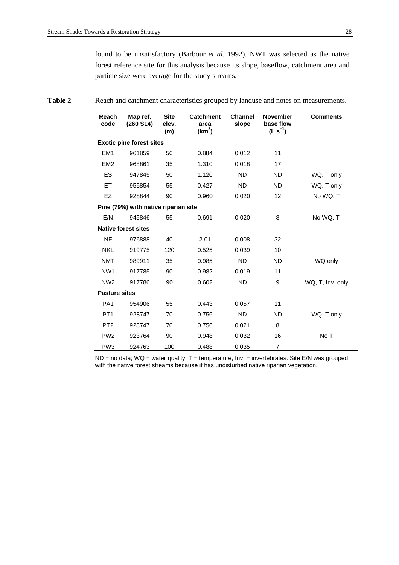found to be unsatisfactory (Barbour *et al*. 1992). NW1 was selected as the native forest reference site for this analysis because its slope, baseflow, catchment area and particle size were average for the study streams.

#### **Reach code Map ref. (260 S14) Site elev. (m) Catchment area (km2 ) Channel slope November base flow (L s–1) Comments Exotic pine forest sites**  EM1 961859 50 0.884 0.012 11 EM2 968861 35 1.310 0.018 17 ES 947845 50 1.120 ND ND WQ, T only ET 955854 55 0.427 ND ND WQ, T only

Table 2 Reach and catchment characteristics grouped by landuse and notes on measurements.

| EZ                   | 928844                               | 90  | 0.960 | 0.020 | $12 \overline{ }$ | No WQ, T         |
|----------------------|--------------------------------------|-----|-------|-------|-------------------|------------------|
|                      | Pine (79%) with native riparian site |     |       |       |                   |                  |
| E/N                  | 945846                               | 55  | 0.691 | 0.020 | 8                 | No WQ, T         |
|                      | <b>Native forest sites</b>           |     |       |       |                   |                  |
| NF.                  | 976888                               | 40  | 2.01  | 0.008 | 32                |                  |
| <b>NKL</b>           | 919775                               | 120 | 0.525 | 0.039 | 10                |                  |
| <b>NMT</b>           | 989911                               | 35  | 0.985 | ND.   | <b>ND</b>         | WQ only          |
| NW <sub>1</sub>      | 917785                               | 90  | 0.982 | 0.019 | 11                |                  |
| NW <sub>2</sub>      | 917786                               | 90  | 0.602 | ND.   | 9                 | WQ, T, Inv. only |
| <b>Pasture sites</b> |                                      |     |       |       |                   |                  |
| PA <sub>1</sub>      | 954906                               | 55  | 0.443 | 0.057 | 11                |                  |
| PT <sub>1</sub>      | 928747                               | 70  | 0.756 | ND.   | <b>ND</b>         | WQ, T only       |
| PT <sub>2</sub>      | 928747                               | 70  | 0.756 | 0.021 | 8                 |                  |
| PW <sub>2</sub>      | 923764                               | 90  | 0.948 | 0.032 | 16                | No T             |
| PW <sub>3</sub>      | 924763                               | 100 | 0.488 | 0.035 | $\overline{7}$    |                  |

ND = no data; WQ = water quality; T = temperature, Inv. = invertebrates. Site E/N was grouped with the native forest streams because it has undisturbed native riparian vegetation.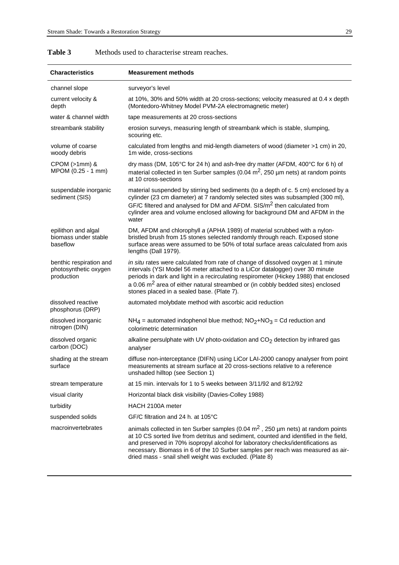| <b>Characteristics</b>                                         | <b>Measurement methods</b>                                                                                                                                                                                                                                                                                                                                                                                   |
|----------------------------------------------------------------|--------------------------------------------------------------------------------------------------------------------------------------------------------------------------------------------------------------------------------------------------------------------------------------------------------------------------------------------------------------------------------------------------------------|
| channel slope                                                  | surveyor's level                                                                                                                                                                                                                                                                                                                                                                                             |
| current velocity &<br>depth                                    | at 10%, 30% and 50% width at 20 cross-sections; velocity measured at 0.4 x depth<br>(Montedoro-Whitney Model PVM-2A electromagnetic meter)                                                                                                                                                                                                                                                                   |
| water & channel width                                          | tape measurements at 20 cross-sections                                                                                                                                                                                                                                                                                                                                                                       |
| streambank stability                                           | erosion surveys, measuring length of streambank which is stable, slumping,<br>scouring etc.                                                                                                                                                                                                                                                                                                                  |
| volume of coarse<br>woody debris                               | calculated from lengths and mid-length diameters of wood (diameter >1 cm) in 20,<br>1m wide, cross-sections                                                                                                                                                                                                                                                                                                  |
| $CPOM$ ( $>1mm$ ) &<br>MPOM (0.25 - 1 mm)                      | dry mass (DM, 105°C for 24 h) and ash-free dry matter (AFDM, 400°C for 6 h) of<br>material collected in ten Surber samples (0.04 $m2$ , 250 µm nets) at random points<br>at 10 cross-sections                                                                                                                                                                                                                |
| suspendable inorganic<br>sediment (SIS)                        | material suspended by stirring bed sediments (to a depth of c. 5 cm) enclosed by a<br>cylinder (23 cm diameter) at 7 randomly selected sites was subsampled (300 ml),<br>GF/C filtered and analysed for DM and AFDM. SIS/m <sup>2</sup> then calculated from<br>cylinder area and volume enclosed allowing for background DM and AFDM in the<br>water                                                        |
| epilithon and algal<br>biomass under stable<br>baseflow        | DM, AFDM and chlorophyll a (APHA 1989) of material scrubbed with a nylon-<br>bristled brush from 15 stones selected randomly through reach. Exposed stone<br>surface areas were assumed to be 50% of total surface areas calculated from axis<br>lengths (Dall 1979).                                                                                                                                        |
| benthic respiration and<br>photosynthetic oxygen<br>production | in situ rates were calculated from rate of change of dissolved oxygen at 1 minute<br>intervals (YSI Model 56 meter attached to a LiCor datalogger) over 30 minute<br>periods in dark and light in a recirculating respirometer (Hickey 1988) that enclosed<br>a 0.06 $m2$ area of either natural streambed or (in cobbly bedded sites) enclosed<br>stones placed in a sealed base. (Plate 7).                |
| dissolved reactive<br>phosphorus (DRP)                         | automated molybdate method with ascorbic acid reduction                                                                                                                                                                                                                                                                                                                                                      |
| dissolved inorganic<br>nitrogen (DIN)                          | $NH_4$ = automated indophenol blue method; $NO_2+NO_3 = Cd$ reduction and<br>colorimetric determination                                                                                                                                                                                                                                                                                                      |
| dissolved organic<br>carbon (DOC)                              | alkaline persulphate with UV photo-oxidation and CO <sub>2</sub> detection by infrared gas<br>analyser                                                                                                                                                                                                                                                                                                       |
| shading at the stream<br>surface                               | diffuse non-interceptance (DIFN) using LiCor LAI-2000 canopy analyser from point<br>measurements at stream surface at 20 cross-sections relative to a reference<br>unshaded hilltop (see Section 1)                                                                                                                                                                                                          |
| stream temperature                                             | at 15 min. intervals for 1 to 5 weeks between 3/11/92 and 8/12/92                                                                                                                                                                                                                                                                                                                                            |
| visual clarity                                                 | Horizontal black disk visibility (Davies-Colley 1988)                                                                                                                                                                                                                                                                                                                                                        |
| turbidity                                                      | HACH 2100A meter                                                                                                                                                                                                                                                                                                                                                                                             |
| suspended solids                                               | GF/C filtration and 24 h. at 105°C                                                                                                                                                                                                                                                                                                                                                                           |
| macroinvertebrates                                             | animals collected in ten Surber samples (0.04 $m2$ , 250 µm nets) at random points<br>at 10 CS sorted live from detritus and sediment, counted and identified in the field,<br>and preserved in 70% isopropyl alcohol for laboratory checks/identifications as<br>necessary. Biomass in 6 of the 10 Surber samples per reach was measured as air-<br>dried mass - snail shell weight was excluded. (Plate 8) |

# Table 3 Methods used to characterise stream reaches.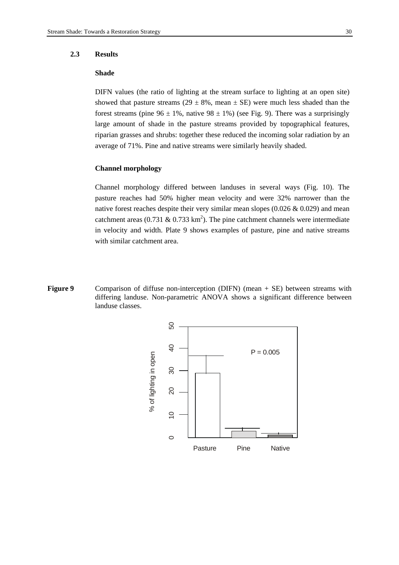#### **2.3 Results**

# **Shade**

DIFN values (the ratio of lighting at the stream surface to lighting at an open site) showed that pasture streams (29  $\pm$  8%, mean  $\pm$  SE) were much less shaded than the forest streams (pine  $96 \pm 1\%$ , native  $98 \pm 1\%$ ) (see Fig. 9). There was a surprisingly large amount of shade in the pasture streams provided by topographical features, riparian grasses and shrubs: together these reduced the incoming solar radiation by an average of 71%. Pine and native streams were similarly heavily shaded.

# **Channel morphology**

Channel morphology differed between landuses in several ways (Fig. 10). The pasture reaches had 50% higher mean velocity and were 32% narrower than the native forest reaches despite their very similar mean slopes (0.026 & 0.029) and mean catchment areas (0.731 & 0.733 km<sup>2</sup>). The pine catchment channels were intermediate in velocity and width. Plate 9 shows examples of pasture, pine and native streams with similar catchment area.

**Figure 9** Comparison of diffuse non-interception (DIFN) (mean + SE) between streams with differing landuse. Non-parametric ANOVA shows a significant difference between landuse classes.

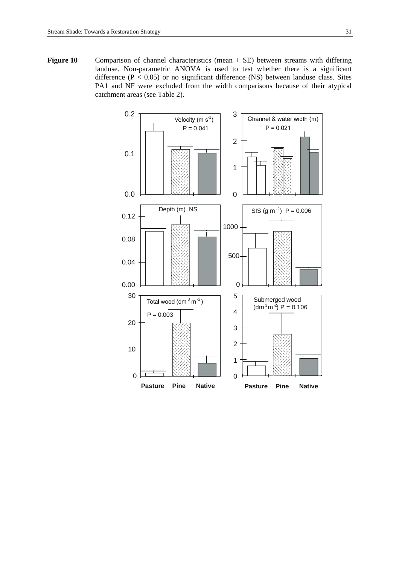Figure 10 Comparison of channel characteristics (mean + SE) between streams with differing landuse. Non-parametric ANOVA is used to test whether there is a significant difference ( $P < 0.05$ ) or no significant difference (NS) between landuse class. Sites PA1 and NF were excluded from the width comparisons because of their atypical catchment areas (see Table 2).

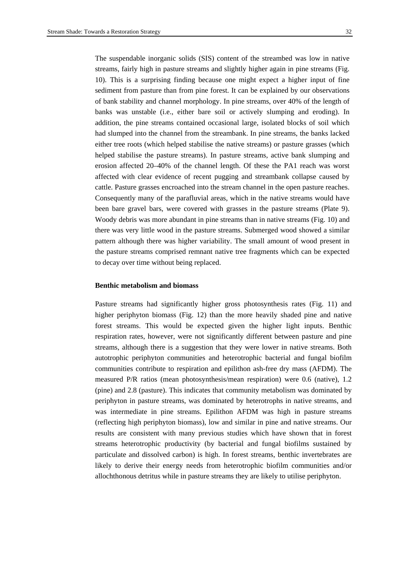The suspendable inorganic solids (SIS) content of the streambed was low in native streams, fairly high in pasture streams and slightly higher again in pine streams (Fig. 10). This is a surprising finding because one might expect a higher input of fine sediment from pasture than from pine forest. It can be explained by our observations of bank stability and channel morphology. In pine streams, over 40% of the length of banks was unstable (i.e., either bare soil or actively slumping and eroding). In addition, the pine streams contained occasional large, isolated blocks of soil which had slumped into the channel from the streambank. In pine streams, the banks lacked either tree roots (which helped stabilise the native streams) or pasture grasses (which helped stabilise the pasture streams). In pasture streams, active bank slumping and erosion affected 20–40% of the channel length. Of these the PA1 reach was worst affected with clear evidence of recent pugging and streambank collapse caused by cattle. Pasture grasses encroached into the stream channel in the open pasture reaches. Consequently many of the parafluvial areas, which in the native streams would have been bare gravel bars, were covered with grasses in the pasture streams (Plate 9). Woody debris was more abundant in pine streams than in native streams (Fig. 10) and there was very little wood in the pasture streams. Submerged wood showed a similar pattern although there was higher variability. The small amount of wood present in the pasture streams comprised remnant native tree fragments which can be expected to decay over time without being replaced.

#### **Benthic metabolism and biomass**

Pasture streams had significantly higher gross photosynthesis rates (Fig. 11) and higher periphyton biomass (Fig. 12) than the more heavily shaded pine and native forest streams. This would be expected given the higher light inputs. Benthic respiration rates, however, were not significantly different between pasture and pine streams, although there is a suggestion that they were lower in native streams. Both autotrophic periphyton communities and heterotrophic bacterial and fungal biofilm communities contribute to respiration and epilithon ash-free dry mass (AFDM). The measured P/R ratios (mean photosynthesis/mean respiration) were 0.6 (native), 1.2 (pine) and 2.8 (pasture). This indicates that community metabolism was dominated by periphyton in pasture streams, was dominated by heterotrophs in native streams, and was intermediate in pine streams. Epilithon AFDM was high in pasture streams (reflecting high periphyton biomass), low and similar in pine and native streams. Our results are consistent with many previous studies which have shown that in forest streams heterotrophic productivity (by bacterial and fungal biofilms sustained by particulate and dissolved carbon) is high. In forest streams, benthic invertebrates are likely to derive their energy needs from heterotrophic biofilm communities and/or allochthonous detritus while in pasture streams they are likely to utilise periphyton.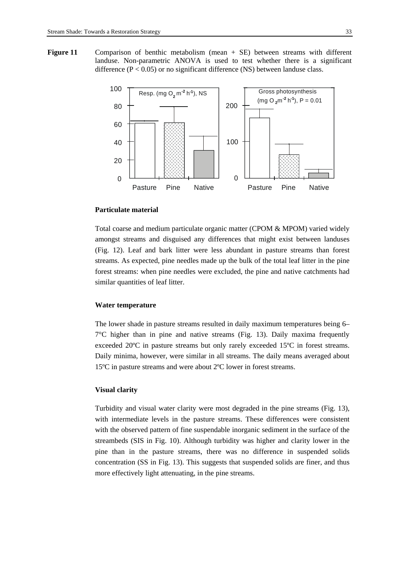**Figure 11** Comparison of benthic metabolism (mean + SE) between streams with different landuse. Non-parametric ANOVA is used to test whether there is a significant difference  $(P < 0.05)$  or no significant difference (NS) between landuse class.



# **Particulate material**

Total coarse and medium particulate organic matter (CPOM & MPOM) varied widely amongst streams and disguised any differences that might exist between landuses (Fig. 12). Leaf and bark litter were less abundant in pasture streams than forest streams. As expected, pine needles made up the bulk of the total leaf litter in the pine forest streams: when pine needles were excluded, the pine and native catchments had similar quantities of leaf litter.

# **Water temperature**

The lower shade in pasture streams resulted in daily maximum temperatures being 6–  $7^{\circ}$ C higher than in pine and native streams (Fig. 13). Daily maxima frequently exceeded 20ºC in pasture streams but only rarely exceeded 15ºC in forest streams. Daily minima, however, were similar in all streams. The daily means averaged about 15ºC in pasture streams and were about 2ºC lower in forest streams.

#### **Visual clarity**

Turbidity and visual water clarity were most degraded in the pine streams (Fig. 13), with intermediate levels in the pasture streams. These differences were consistent with the observed pattern of fine suspendable inorganic sediment in the surface of the streambeds (SIS in Fig. 10). Although turbidity was higher and clarity lower in the pine than in the pasture streams, there was no difference in suspended solids concentration (SS in Fig. 13). This suggests that suspended solids are finer, and thus more effectively light attenuating, in the pine streams.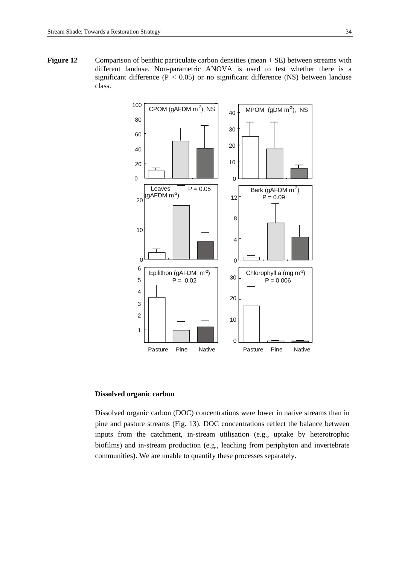Figure 12 Comparison of benthic particulate carbon densities (mean + SE) between streams with different landuse. Non-parametric ANOVA is used to test whether there is a significant difference ( $P < 0.05$ ) or no significant difference (NS) between landuse class.



# **Dissolved organic carbon**

Dissolved organic carbon (DOC) concentrations were lower in native streams than in pine and pasture streams (Fig. 13). DOC concentrations reflect the balance between inputs from the catchment, in-stream utilisation (e.g., uptake by heterotrophic biofilms) and in-stream production (e.g., leaching from periphyton and invertebrate communities). We are unable to quantify these processes separately.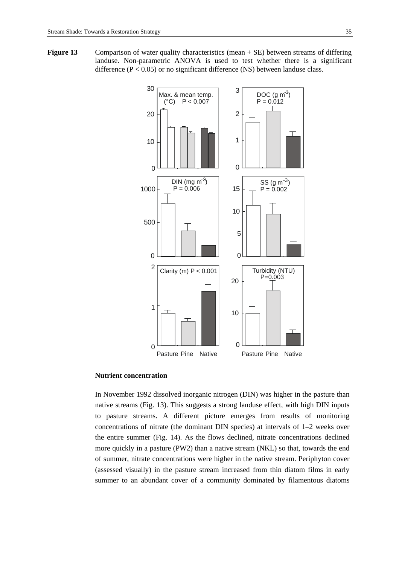**Figure 13** Comparison of water quality characteristics (mean + SE) between streams of differing landuse. Non-parametric ANOVA is used to test whether there is a significant difference  $(P < 0.05)$  or no significant difference (NS) between landuse class.



# **Nutrient concentration**

In November 1992 dissolved inorganic nitrogen (DIN) was higher in the pasture than native streams (Fig. 13). This suggests a strong landuse effect, with high DIN inputs to pasture streams. A different picture emerges from results of monitoring concentrations of nitrate (the dominant DIN species) at intervals of 1–2 weeks over the entire summer (Fig. 14). As the flows declined, nitrate concentrations declined more quickly in a pasture (PW2) than a native stream (NKL) so that, towards the end of summer, nitrate concentrations were higher in the native stream. Periphyton cover (assessed visually) in the pasture stream increased from thin diatom films in early summer to an abundant cover of a community dominated by filamentous diatoms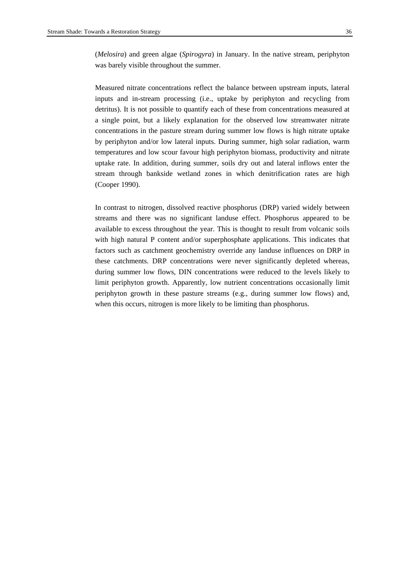(*Melosira*) and green algae (*Spirogyra*) in January. In the native stream, periphyton was barely visible throughout the summer.

Measured nitrate concentrations reflect the balance between upstream inputs, lateral inputs and in-stream processing (i.e., uptake by periphyton and recycling from detritus). It is not possible to quantify each of these from concentrations measured at a single point, but a likely explanation for the observed low streamwater nitrate concentrations in the pasture stream during summer low flows is high nitrate uptake by periphyton and/or low lateral inputs. During summer, high solar radiation, warm temperatures and low scour favour high periphyton biomass, productivity and nitrate uptake rate. In addition, during summer, soils dry out and lateral inflows enter the stream through bankside wetland zones in which denitrification rates are high (Cooper 1990).

In contrast to nitrogen, dissolved reactive phosphorus (DRP) varied widely between streams and there was no significant landuse effect. Phosphorus appeared to be available to excess throughout the year. This is thought to result from volcanic soils with high natural P content and/or superphosphate applications. This indicates that factors such as catchment geochemistry override any landuse influences on DRP in these catchments. DRP concentrations were never significantly depleted whereas, during summer low flows, DIN concentrations were reduced to the levels likely to limit periphyton growth. Apparently, low nutrient concentrations occasionally limit periphyton growth in these pasture streams (e.g., during summer low flows) and, when this occurs, nitrogen is more likely to be limiting than phosphorus.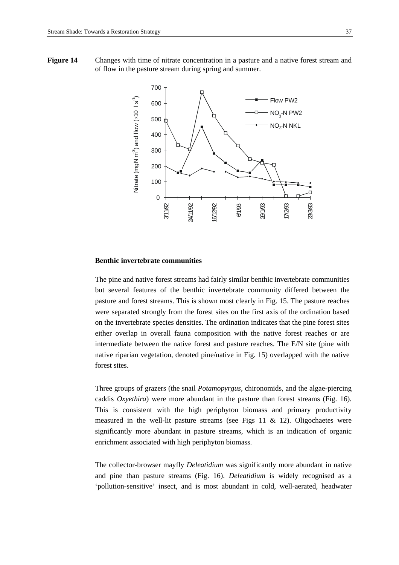**Figure 14** Changes with time of nitrate concentration in a pasture and a native forest stream and of flow in the pasture stream during spring and summer.



# **Benthic invertebrate communities**

The pine and native forest streams had fairly similar benthic invertebrate communities but several features of the benthic invertebrate community differed between the pasture and forest streams. This is shown most clearly in Fig. 15. The pasture reaches were separated strongly from the forest sites on the first axis of the ordination based on the invertebrate species densities. The ordination indicates that the pine forest sites either overlap in overall fauna composition with the native forest reaches or are intermediate between the native forest and pasture reaches. The E/N site (pine with native riparian vegetation, denoted pine/native in Fig. 15) overlapped with the native forest sites.

Three groups of grazers (the snail *Potamopyrgus,* chironomids, and the algae-piercing caddis *Oxyethira*) were more abundant in the pasture than forest streams (Fig. 16). This is consistent with the high periphyton biomass and primary productivity measured in the well-lit pasture streams (see Figs 11  $\&$  12). Oligochaetes were significantly more abundant in pasture streams, which is an indication of organic enrichment associated with high periphyton biomass.

The collector-browser mayfly *Deleatidium* was significantly more abundant in native and pine than pasture streams (Fig. 16). *Deleatidium* is widely recognised as a 'pollution-sensitive' insect, and is most abundant in cold, well-aerated, headwater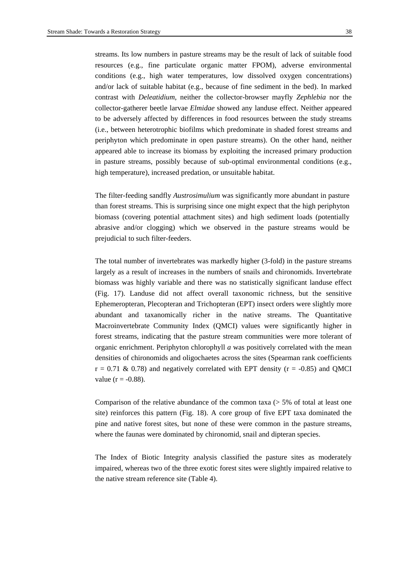streams. Its low numbers in pasture streams may be the result of lack of suitable food resources (e.g., fine particulate organic matter FPOM), adverse environmental conditions (e.g., high water temperatures, low dissolved oxygen concentrations) and/or lack of suitable habitat (e.g., because of fine sediment in the bed). In marked contrast with *Deleatidium*, neither the collector-browser mayfly *Zephlebia* nor the collector-gatherer beetle larvae *Elmidae* showed any landuse effect. Neither appeared to be adversely affected by differences in food resources between the study streams (i.e., between heterotrophic biofilms which predominate in shaded forest streams and periphyton which predominate in open pasture streams). On the other hand, neither appeared able to increase its biomass by exploiting the increased primary production in pasture streams, possibly because of sub-optimal environmental conditions (e.g., high temperature), increased predation, or unsuitable habitat.

The filter-feeding sandfly *Austrosimulium* was significantly more abundant in pasture than forest streams. This is surprising since one might expect that the high periphyton biomass (covering potential attachment sites) and high sediment loads (potentially abrasive and/or clogging) which we observed in the pasture streams would be prejudicial to such filter-feeders.

The total number of invertebrates was markedly higher (3-fold) in the pasture streams largely as a result of increases in the numbers of snails and chironomids. Invertebrate biomass was highly variable and there was no statistically significant landuse effect (Fig. 17). Landuse did not affect overall taxonomic richness, but the sensitive Ephemeropteran, Plecopteran and Trichopteran (EPT) insect orders were slightly more abundant and taxanomically richer in the native streams. The Quantitative Macroinvertebrate Community Index (QMCI) values were significantly higher in forest streams, indicating that the pasture stream communities were more tolerant of organic enrichment. Periphyton chlorophyll *a* was positively correlated with the mean densities of chironomids and oligochaetes across the sites (Spearman rank coefficients  $r = 0.71 \& 0.78$ ) and negatively correlated with EPT density ( $r = -0.85$ ) and QMCI value ( $r = -0.88$ ).

Comparison of the relative abundance of the common taxa  $($  > 5% of total at least one site) reinforces this pattern (Fig. 18). A core group of five EPT taxa dominated the pine and native forest sites, but none of these were common in the pasture streams, where the faunas were dominated by chironomid, snail and dipteran species.

The Index of Biotic Integrity analysis classified the pasture sites as moderately impaired, whereas two of the three exotic forest sites were slightly impaired relative to the native stream reference site (Table 4).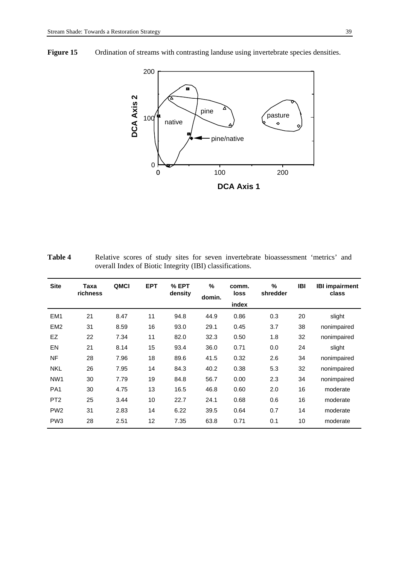Figure 15 Ordination of streams with contrasting landuse using invertebrate species densities.



Table 4 **Relative scores of study sites for seven invertebrate bioassessment 'metrics' and** overall Index of Biotic Integrity (IBI) classifications.

| <b>Site</b>     | Taxa<br>richness | QMCI | <b>EPT</b> | % EPT<br>density | %<br>domin. | comm.<br>loss<br>index | %<br>shredder | <b>IBI</b> | <b>IBI impairment</b><br>class |
|-----------------|------------------|------|------------|------------------|-------------|------------------------|---------------|------------|--------------------------------|
| EM <sub>1</sub> | 21               | 8.47 | 11         | 94.8             | 44.9        | 0.86                   | 0.3           | 20         | slight                         |
| EM <sub>2</sub> | 31               | 8.59 | 16         | 93.0             | 29.1        | 0.45                   | 3.7           | 38         | nonimpaired                    |
| <b>EZ</b>       | 22               | 7.34 | 11         | 82.0             | 32.3        | 0.50                   | 1.8           | 32         | nonimpaired                    |
| EN              | 21               | 8.14 | 15         | 93.4             | 36.0        | 0.71                   | 0.0           | 24         | slight                         |
| <b>NF</b>       | 28               | 7.96 | 18         | 89.6             | 41.5        | 0.32                   | 2.6           | 34         | nonimpaired                    |
| <b>NKL</b>      | 26               | 7.95 | 14         | 84.3             | 40.2        | 0.38                   | 5.3           | 32         | nonimpaired                    |
| NW <sub>1</sub> | 30               | 7.79 | 19         | 84.8             | 56.7        | 0.00                   | 2.3           | 34         | nonimpaired                    |
| PA <sub>1</sub> | 30               | 4.75 | 13         | 16.5             | 46.8        | 0.60                   | 2.0           | 16         | moderate                       |
| PT <sub>2</sub> | 25               | 3.44 | 10         | 22.7             | 24.1        | 0.68                   | 0.6           | 16         | moderate                       |
| PW <sub>2</sub> | 31               | 2.83 | 14         | 6.22             | 39.5        | 0.64                   | 0.7           | 14         | moderate                       |
| PW <sub>3</sub> | 28               | 2.51 | 12         | 7.35             | 63.8        | 0.71                   | 0.1           | 10         | moderate                       |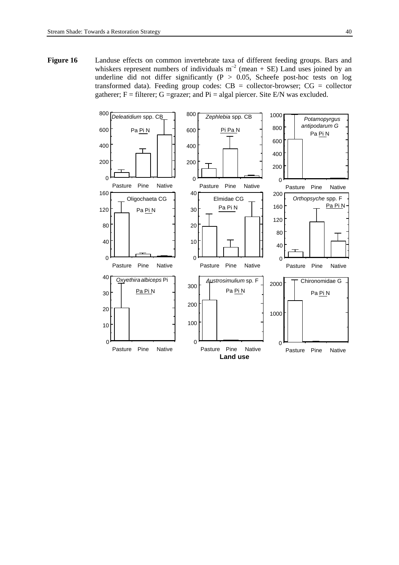Figure 16 Landuse effects on common invertebrate taxa of different feeding groups. Bars and whiskers represent numbers of individuals  $m^{-2}$  (mean + SE) Land uses joined by an underline did not differ significantly ( $P > 0.05$ , Scheefe post-hoc tests on log transformed data). Feeding group codes:  $CB =$  collector-browser;  $CG =$  collector gatherer;  $F =$  filterer; G = grazer; and Pi = algal piercer. Site E/N was excluded.

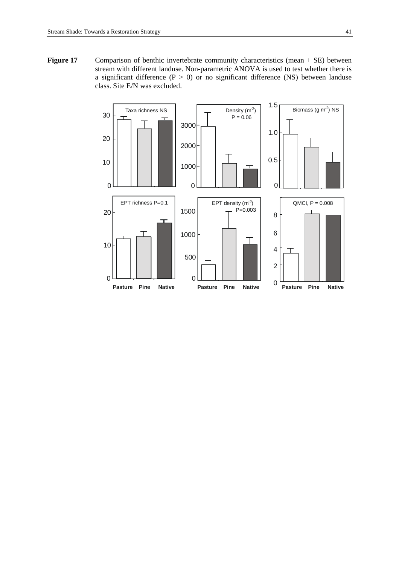Figure 17 Comparison of benthic invertebrate community characteristics (mean + SE) between stream with different landuse. Non-parametric ANOVA is used to test whether there is a significant difference ( $P > 0$ ) or no significant difference (NS) between landuse class. Site E/N was excluded.

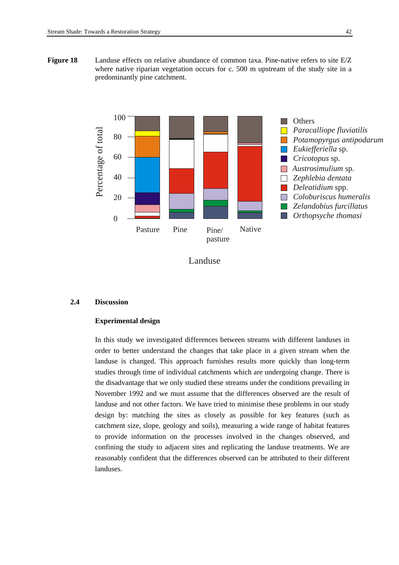**Figure 18** Landuse effects on relative abundance of common taxa. Pine-native refers to site E/Z where native riparian vegetation occurs for c. 500 m upstream of the study site in a predominantly pine catchment.





#### **2.4 Discussion**

# **Experimental design**

In this study we investigated differences between streams with different landuses in order to better understand the changes that take place in a given stream when the landuse is changed. This approach furnishes results more quickly than long-term studies through time of individual catchments which are undergoing change. There is the disadvantage that we only studied these streams under the conditions prevailing in November 1992 and we must assume that the differences observed are the result of landuse and not other factors. We have tried to minimise these problems in our study design by: matching the sites as closely as possible for key features (such as catchment size, slope, geology and soils), measuring a wide range of habitat features to provide information on the processes involved in the changes observed, and confining the study to adjacent sites and replicating the landuse treatments. We are reasonably confident that the differences observed can be attributed to their different landuses.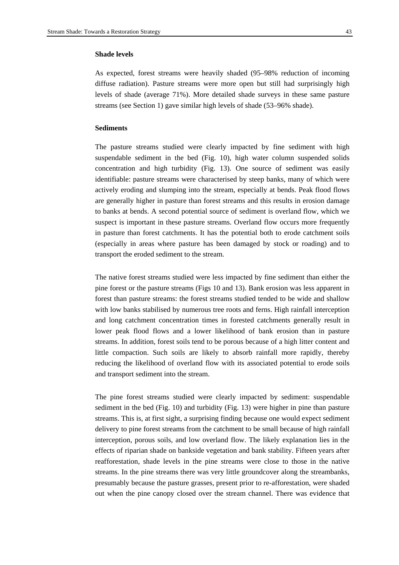#### **Shade levels**

As expected, forest streams were heavily shaded (95–98% reduction of incoming diffuse radiation). Pasture streams were more open but still had surprisingly high levels of shade (average 71%). More detailed shade surveys in these same pasture streams (see Section 1) gave similar high levels of shade (53–96% shade).

# **Sediments**

The pasture streams studied were clearly impacted by fine sediment with high suspendable sediment in the bed (Fig. 10), high water column suspended solids concentration and high turbidity (Fig. 13). One source of sediment was easily identifiable: pasture streams were characterised by steep banks, many of which were actively eroding and slumping into the stream, especially at bends. Peak flood flows are generally higher in pasture than forest streams and this results in erosion damage to banks at bends. A second potential source of sediment is overland flow, which we suspect is important in these pasture streams. Overland flow occurs more frequently in pasture than forest catchments. It has the potential both to erode catchment soils (especially in areas where pasture has been damaged by stock or roading) and to transport the eroded sediment to the stream.

The native forest streams studied were less impacted by fine sediment than either the pine forest or the pasture streams (Figs 10 and 13). Bank erosion was less apparent in forest than pasture streams: the forest streams studied tended to be wide and shallow with low banks stabilised by numerous tree roots and ferns. High rainfall interception and long catchment concentration times in forested catchments generally result in lower peak flood flows and a lower likelihood of bank erosion than in pasture streams. In addition, forest soils tend to be porous because of a high litter content and little compaction. Such soils are likely to absorb rainfall more rapidly, thereby reducing the likelihood of overland flow with its associated potential to erode soils and transport sediment into the stream.

The pine forest streams studied were clearly impacted by sediment: suspendable sediment in the bed (Fig. 10) and turbidity (Fig. 13) were higher in pine than pasture streams. This is, at first sight, a surprising finding because one would expect sediment delivery to pine forest streams from the catchment to be small because of high rainfall interception, porous soils, and low overland flow. The likely explanation lies in the effects of riparian shade on bankside vegetation and bank stability. Fifteen years after reafforestation, shade levels in the pine streams were close to those in the native streams. In the pine streams there was very little groundcover along the streambanks, presumably because the pasture grasses, present prior to re-afforestation, were shaded out when the pine canopy closed over the stream channel. There was evidence that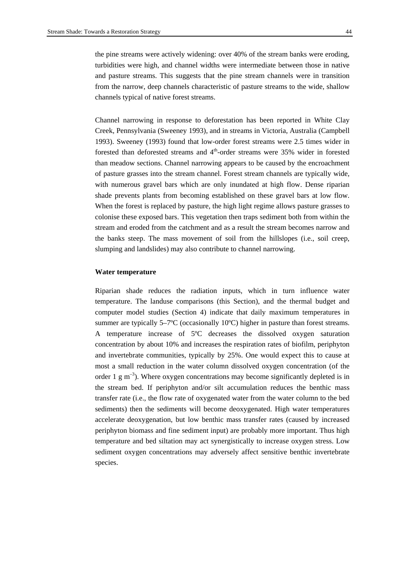the pine streams were actively widening: over 40% of the stream banks were eroding, turbidities were high, and channel widths were intermediate between those in native and pasture streams. This suggests that the pine stream channels were in transition from the narrow, deep channels characteristic of pasture streams to the wide, shallow channels typical of native forest streams.

Channel narrowing in response to deforestation has been reported in White Clay Creek, Pennsylvania (Sweeney 1993), and in streams in Victoria, Australia (Campbell 1993). Sweeney (1993) found that low-order forest streams were 2.5 times wider in forested than deforested streams and  $4<sup>th</sup>$ -order streams were 35% wider in forested than meadow sections. Channel narrowing appears to be caused by the encroachment of pasture grasses into the stream channel. Forest stream channels are typically wide, with numerous gravel bars which are only inundated at high flow. Dense riparian shade prevents plants from becoming established on these gravel bars at low flow. When the forest is replaced by pasture, the high light regime allows pasture grasses to colonise these exposed bars. This vegetation then traps sediment both from within the stream and eroded from the catchment and as a result the stream becomes narrow and the banks steep. The mass movement of soil from the hillslopes (i.e., soil creep, slumping and landslides) may also contribute to channel narrowing.

#### **Water temperature**

Riparian shade reduces the radiation inputs, which in turn influence water temperature. The landuse comparisons (this Section), and the thermal budget and computer model studies (Section 4) indicate that daily maximum temperatures in summer are typically 5–7ºC (occasionally 10ºC) higher in pasture than forest streams. A temperature increase of 5ºC decreases the dissolved oxygen saturation concentration by about 10% and increases the respiration rates of biofilm, periphyton and invertebrate communities, typically by 25%. One would expect this to cause at most a small reduction in the water column dissolved oxygen concentration (of the order 1  $\rm g$  m<sup>-3</sup>). Where oxygen concentrations may become significantly depleted is in the stream bed. If periphyton and/or silt accumulation reduces the benthic mass transfer rate (i.e., the flow rate of oxygenated water from the water column to the bed sediments) then the sediments will become deoxygenated. High water temperatures accelerate deoxygenation, but low benthic mass transfer rates (caused by increased periphyton biomass and fine sediment input) are probably more important. Thus high temperature and bed siltation may act synergistically to increase oxygen stress. Low sediment oxygen concentrations may adversely affect sensitive benthic invertebrate species.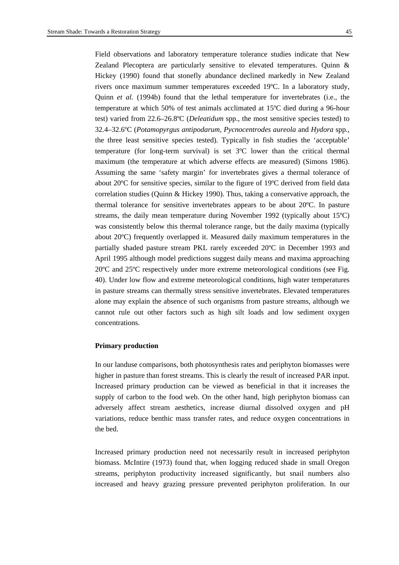Field observations and laboratory temperature tolerance studies indicate that New Zealand Plecoptera are particularly sensitive to elevated temperatures. Quinn & Hickey (1990) found that stonefly abundance declined markedly in New Zealand rivers once maximum summer temperatures exceeded 19ºC. In a laboratory study, Quinn *et al.* (1994b) found that the lethal temperature for invertebrates (i.e., the temperature at which 50% of test animals acclimated at 15ºC died during a 96-hour test) varied from 22.6–26.8ºC (*Deleatidum* spp., the most sensitive species tested) to 32.4–32.6ºC (*Potamopyrgus antipodarum, Pycnocentrodes aureola* and *Hydora* spp., the three least sensitive species tested). Typically in fish studies the 'acceptable' temperature (for long-term survival) is set 3ºC lower than the critical thermal maximum (the temperature at which adverse effects are measured) (Simons 1986). Assuming the same 'safety margin' for invertebrates gives a thermal tolerance of about 20ºC for sensitive species, similar to the figure of 19ºC derived from field data correlation studies (Quinn & Hickey 1990). Thus, taking a conservative approach, the thermal tolerance for sensitive invertebrates appears to be about 20ºC. In pasture streams, the daily mean temperature during November 1992 (typically about 15ºC) was consistently below this thermal tolerance range, but the daily maxima (typically about 20ºC) frequently overlapped it. Measured daily maximum temperatures in the partially shaded pasture stream PKL rarely exceeded 20ºC in December 1993 and April 1995 although model predictions suggest daily means and maxima approaching 20ºC and 25ºC respectively under more extreme meteorological conditions (see Fig. 40). Under low flow and extreme meteorological conditions, high water temperatures in pasture streams can thermally stress sensitive invertebrates. Elevated temperatures alone may explain the absence of such organisms from pasture streams, although we cannot rule out other factors such as high silt loads and low sediment oxygen concentrations.

#### **Primary production**

In our landuse comparisons, both photosynthesis rates and periphyton biomasses were higher in pasture than forest streams. This is clearly the result of increased PAR input. Increased primary production can be viewed as beneficial in that it increases the supply of carbon to the food web. On the other hand, high periphyton biomass can adversely affect stream aesthetics, increase diurnal dissolved oxygen and pH variations, reduce benthic mass transfer rates, and reduce oxygen concentrations in the bed.

Increased primary production need not necessarily result in increased periphyton biomass. McIntire (1973) found that, when logging reduced shade in small Oregon streams, periphyton productivity increased significantly, but snail numbers also increased and heavy grazing pressure prevented periphyton proliferation. In our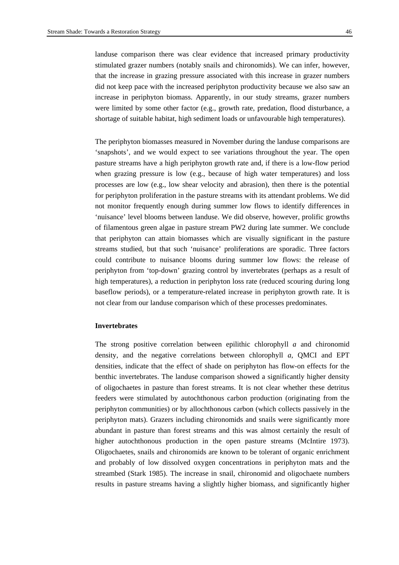landuse comparison there was clear evidence that increased primary productivity stimulated grazer numbers (notably snails and chironomids). We can infer, however, that the increase in grazing pressure associated with this increase in grazer numbers did not keep pace with the increased periphyton productivity because we also saw an increase in periphyton biomass. Apparently, in our study streams, grazer numbers were limited by some other factor (e.g., growth rate, predation, flood disturbance, a shortage of suitable habitat, high sediment loads or unfavourable high temperatures).

The periphyton biomasses measured in November during the landuse comparisons are 'snapshots', and we would expect to see variations throughout the year. The open pasture streams have a high periphyton growth rate and, if there is a low-flow period when grazing pressure is low (e.g., because of high water temperatures) and loss processes are low (e.g., low shear velocity and abrasion), then there is the potential for periphyton proliferation in the pasture streams with its attendant problems. We did not monitor frequently enough during summer low flows to identify differences in 'nuisance' level blooms between landuse. We did observe, however, prolific growths of filamentous green algae in pasture stream PW2 during late summer. We conclude that periphyton can attain biomasses which are visually significant in the pasture streams studied, but that such 'nuisance' proliferations are sporadic. Three factors could contribute to nuisance blooms during summer low flows: the release of periphyton from 'top-down' grazing control by invertebrates (perhaps as a result of high temperatures), a reduction in periphyton loss rate (reduced scouring during long baseflow periods), or a temperature-related increase in periphyton growth rate. It is not clear from our landuse comparison which of these processes predominates.

#### **Invertebrates**

The strong positive correlation between epilithic chlorophyll *a* and chironomid density, and the negative correlations between chlorophyll *a*, QMCI and EPT densities, indicate that the effect of shade on periphyton has flow-on effects for the benthic invertebrates. The landuse comparison showed a significantly higher density of oligochaetes in pasture than forest streams. It is not clear whether these detritus feeders were stimulated by autochthonous carbon production (originating from the periphyton communities) or by allochthonous carbon (which collects passively in the periphyton mats). Grazers including chironomids and snails were significantly more abundant in pasture than forest streams and this was almost certainly the result of higher autochthonous production in the open pasture streams (McIntire 1973). Oligochaetes, snails and chironomids are known to be tolerant of organic enrichment and probably of low dissolved oxygen concentrations in periphyton mats and the streambed (Stark 1985). The increase in snail, chironomid and oligochaete numbers results in pasture streams having a slightly higher biomass, and significantly higher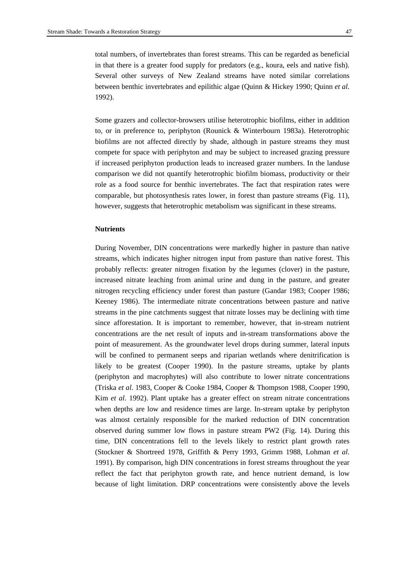total numbers, of invertebrates than forest streams. This can be regarded as beneficial in that there is a greater food supply for predators (e.g., koura, eels and native fish). Several other surveys of New Zealand streams have noted similar correlations between benthic invertebrates and epilithic algae (Quinn & Hickey 1990; Quinn *et al*. 1992).

Some grazers and collector-browsers utilise heterotrophic biofilms, either in addition to, or in preference to, periphyton (Rounick & Winterbourn 1983a). Heterotrophic biofilms are not affected directly by shade, although in pasture streams they must compete for space with periphyton and may be subject to increased grazing pressure if increased periphyton production leads to increased grazer numbers. In the landuse comparison we did not quantify heterotrophic biofilm biomass, productivity or their role as a food source for benthic invertebrates. The fact that respiration rates were comparable, but photosynthesis rates lower, in forest than pasture streams (Fig. 11), however, suggests that heterotrophic metabolism was significant in these streams.

#### **Nutrients**

During November, DIN concentrations were markedly higher in pasture than native streams, which indicates higher nitrogen input from pasture than native forest. This probably reflects: greater nitrogen fixation by the legumes (clover) in the pasture, increased nitrate leaching from animal urine and dung in the pasture, and greater nitrogen recycling efficiency under forest than pasture (Gandar 1983; Cooper 1986; Keeney 1986). The intermediate nitrate concentrations between pasture and native streams in the pine catchments suggest that nitrate losses may be declining with time since afforestation. It is important to remember, however, that in-stream nutrient concentrations are the net result of inputs and in-stream transformations above the point of measurement. As the groundwater level drops during summer, lateral inputs will be confined to permanent seeps and riparian wetlands where denitrification is likely to be greatest (Cooper 1990). In the pasture streams, uptake by plants (periphyton and macrophytes) will also contribute to lower nitrate concentrations (Triska *et al*. 1983, Cooper & Cooke 1984, Cooper & Thompson 1988, Cooper 1990, Kim *et al*. 1992). Plant uptake has a greater effect on stream nitrate concentrations when depths are low and residence times are large. In-stream uptake by periphyton was almost certainly responsible for the marked reduction of DIN concentration observed during summer low flows in pasture stream PW2 (Fig. 14). During this time, DIN concentrations fell to the levels likely to restrict plant growth rates (Stockner & Shortreed 1978, Griffith & Perry 1993, Grimm 1988, Lohman *et al*. 1991). By comparison, high DIN concentrations in forest streams throughout the year reflect the fact that periphyton growth rate, and hence nutrient demand, is low because of light limitation. DRP concentrations were consistently above the levels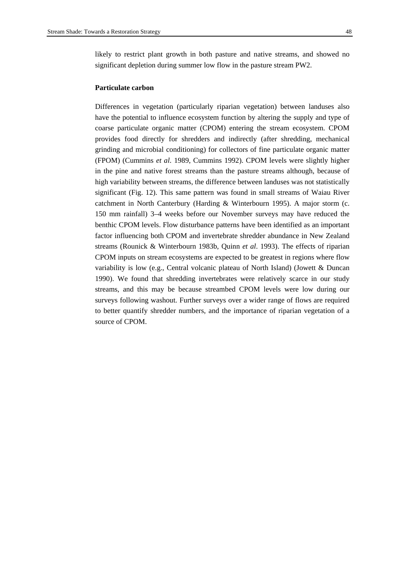likely to restrict plant growth in both pasture and native streams, and showed no significant depletion during summer low flow in the pasture stream PW2.

#### **Particulate carbon**

Differences in vegetation (particularly riparian vegetation) between landuses also have the potential to influence ecosystem function by altering the supply and type of coarse particulate organic matter (CPOM) entering the stream ecosystem. CPOM provides food directly for shredders and indirectly (after shredding, mechanical grinding and microbial conditioning) for collectors of fine particulate organic matter (FPOM) (Cummins *et al*. 1989, Cummins 1992). CPOM levels were slightly higher in the pine and native forest streams than the pasture streams although, because of high variability between streams, the difference between landuses was not statistically significant (Fig. 12). This same pattern was found in small streams of Waiau River catchment in North Canterbury (Harding & Winterbourn 1995). A major storm (c. 150 mm rainfall) 3–4 weeks before our November surveys may have reduced the benthic CPOM levels. Flow disturbance patterns have been identified as an important factor influencing both CPOM and invertebrate shredder abundance in New Zealand streams (Rounick & Winterbourn 1983b, Quinn *et al*. 1993). The effects of riparian CPOM inputs on stream ecosystems are expected to be greatest in regions where flow variability is low (e.g., Central volcanic plateau of North Island) (Jowett & Duncan 1990). We found that shredding invertebrates were relatively scarce in our study streams, and this may be because streambed CPOM levels were low during our surveys following washout. Further surveys over a wider range of flows are required to better quantify shredder numbers, and the importance of riparian vegetation of a source of CPOM.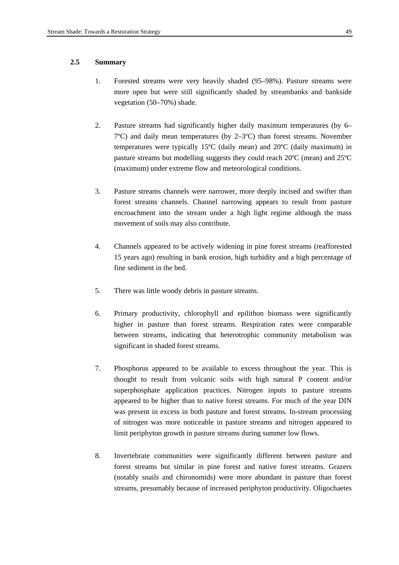# **2.5 Summary**

- 1. Forested streams were very heavily shaded (95–98%). Pasture streams were more open but were still significantly shaded by streambanks and bankside vegetation (50–70%) shade.
- 2. Pasture streams had significantly higher daily maximum temperatures (by 6– 7ºC) and daily mean temperatures (by 2–3ºC) than forest streams. November temperatures were typically 15ºC (daily mean) and 20ºC (daily maximum) in pasture streams but modelling suggests they could reach 20ºC (mean) and 25ºC (maximum) under extreme flow and meteorological conditions.
- 3. Pasture streams channels were narrower, more deeply incised and swifter than forest streams channels. Channel narrowing appears to result from pasture encroachment into the stream under a high light regime although the mass movement of soils may also contribute.
- 4. Channels appeared to be actively widening in pine forest streams (reafforested 15 years ago) resulting in bank erosion, high turbidity and a high percentage of fine sediment in the bed.
- 5. There was little woody debris in pasture streams.
- 6. Primary productivity, chlorophyll and epilithon biomass were significantly higher in pasture than forest streams. Respiration rates were comparable between streams, indicating that heterotrophic community metabolism was significant in shaded forest streams.
- 7. Phosphorus appeared to be available to excess throughout the year. This is thought to result from volcanic soils with high natural P content and/or superphosphate application practices. Nitrogen inputs to pasture streams appeared to be higher than to native forest streams. For much of the year DIN was present in excess in both pasture and forest streams. In-stream processing of nitrogen was more noticeable in pasture streams and nitrogen appeared to limit periphyton growth in pasture streams during summer low flows.
- 8. Invertebrate communities were significantly different between pasture and forest streams but similar in pine forest and native forest streams. Grazers (notably snails and chironomids) were more abundant in pasture than forest streams, presumably because of increased periphyton productivity. Oligochaetes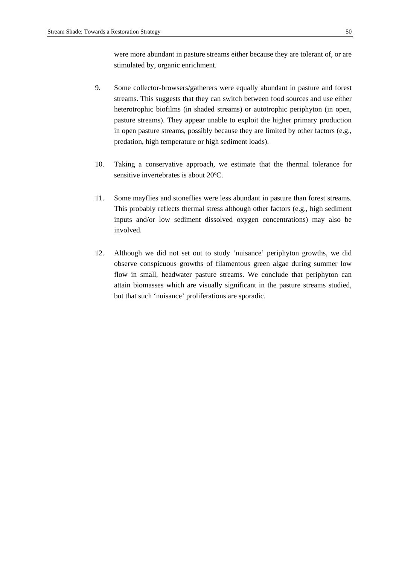were more abundant in pasture streams either because they are tolerant of, or are stimulated by, organic enrichment.

- 9. Some collector-browsers/gatherers were equally abundant in pasture and forest streams. This suggests that they can switch between food sources and use either heterotrophic biofilms (in shaded streams) or autotrophic periphyton (in open, pasture streams). They appear unable to exploit the higher primary production in open pasture streams, possibly because they are limited by other factors (e.g., predation, high temperature or high sediment loads).
- 10. Taking a conservative approach, we estimate that the thermal tolerance for sensitive invertebrates is about 20ºC.
- 11. Some mayflies and stoneflies were less abundant in pasture than forest streams. This probably reflects thermal stress although other factors (e.g., high sediment inputs and/or low sediment dissolved oxygen concentrations) may also be involved.
- 12. Although we did not set out to study 'nuisance' periphyton growths, we did observe conspicuous growths of filamentous green algae during summer low flow in small, headwater pasture streams. We conclude that periphyton can attain biomasses which are visually significant in the pasture streams studied, but that such 'nuisance' proliferations are sporadic.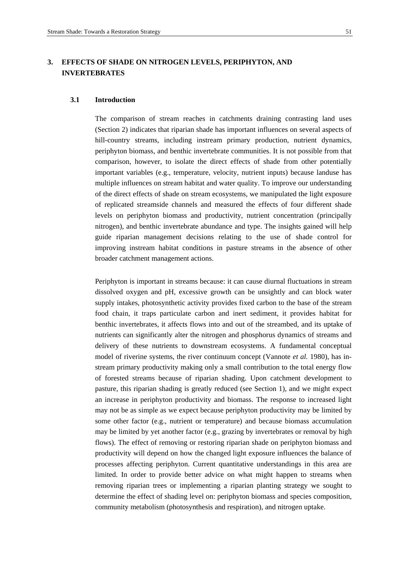# **3. EFFECTS OF SHADE ON NITROGEN LEVELS, PERIPHYTON, AND INVERTEBRATES**

# **3.1 Introduction**

The comparison of stream reaches in catchments draining contrasting land uses (Section 2) indicates that riparian shade has important influences on several aspects of hill-country streams, including instream primary production, nutrient dynamics, periphyton biomass, and benthic invertebrate communities. It is not possible from that comparison, however, to isolate the direct effects of shade from other potentially important variables (e.g., temperature, velocity, nutrient inputs) because landuse has multiple influences on stream habitat and water quality. To improve our understanding of the direct effects of shade on stream ecosystems, we manipulated the light exposure of replicated streamside channels and measured the effects of four different shade levels on periphyton biomass and productivity, nutrient concentration (principally nitrogen), and benthic invertebrate abundance and type. The insights gained will help guide riparian management decisions relating to the use of shade control for improving instream habitat conditions in pasture streams in the absence of other broader catchment management actions.

Periphyton is important in streams because: it can cause diurnal fluctuations in stream dissolved oxygen and pH, excessive growth can be unsightly and can block water supply intakes, photosynthetic activity provides fixed carbon to the base of the stream food chain, it traps particulate carbon and inert sediment, it provides habitat for benthic invertebrates, it affects flows into and out of the streambed, and its uptake of nutrients can significantly alter the nitrogen and phosphorus dynamics of streams and delivery of these nutrients to downstream ecosystems. A fundamental conceptual model of riverine systems, the river continuum concept (Vannote *et al.* 1980), has instream primary productivity making only a small contribution to the total energy flow of forested streams because of riparian shading. Upon catchment development to pasture, this riparian shading is greatly reduced (see Section 1), and we might expect an increase in periphyton productivity and biomass. The response to increased light may not be as simple as we expect because periphyton productivity may be limited by some other factor (e.g., nutrient or temperature) and because biomass accumulation may be limited by yet another factor (e.g., grazing by invertebrates or removal by high flows). The effect of removing or restoring riparian shade on periphyton biomass and productivity will depend on how the changed light exposure influences the balance of processes affecting periphyton. Current quantitative understandings in this area are limited. In order to provide better advice on what might happen to streams when removing riparian trees or implementing a riparian planting strategy we sought to determine the effect of shading level on: periphyton biomass and species composition, community metabolism (photosynthesis and respiration), and nitrogen uptake.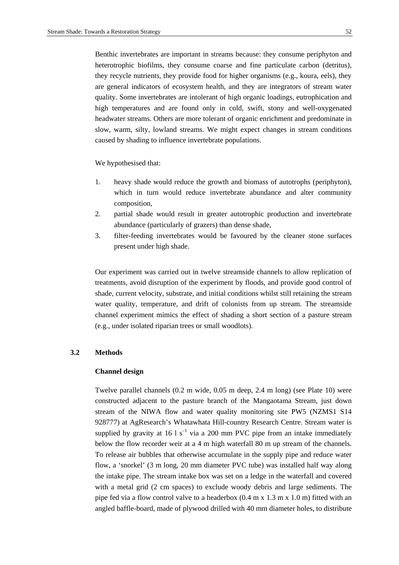Benthic invertebrates are important in streams because: they consume periphyton and heterotrophic biofilms, they consume coarse and fine particulate carbon (detritus), they recycle nutrients, they provide food for higher organisms (e.g., koura, eels), they are general indicators of ecosystem health, and they are integrators of stream water quality. Some invertebrates are intolerant of high organic loadings, eutrophication and high temperatures and are found only in cold, swift, stony and well-oxygenated headwater streams. Others are more tolerant of organic enrichment and predominate in slow, warm, silty, lowland streams. We might expect changes in stream conditions caused by shading to influence invertebrate populations.

We hypothesised that:

- 1. heavy shade would reduce the growth and biomass of autotrophs (periphyton), which in turn would reduce invertebrate abundance and alter community composition,
- 2. partial shade would result in greater autotrophic production and invertebrate abundance (particularly of grazers) than dense shade,
- 3. filter-feeding invertebrates would be favoured by the cleaner stone surfaces present under high shade.

Our experiment was carried out in twelve streamside channels to allow replication of treatments, avoid disruption of the experiment by floods, and provide good control of shade, current velocity, substrate, and initial conditions whilst still retaining the stream water quality, temperature, and drift of colonists from up stream. The streamside channel experiment mimics the effect of shading a short section of a pasture stream (e.g., under isolated riparian trees or small woodlots).

#### **3.2 Methods**

#### **Channel design**

Twelve parallel channels (0.2 m wide, 0.05 m deep, 2.4 m long) (see Plate 10) were constructed adjacent to the pasture branch of the Mangaotama Stream, just down stream of the NIWA flow and water quality monitoring site PW5 (NZMS1 S14 928777) at AgResearch's Whatawhata Hill-country Research Centre. Stream water is supplied by gravity at 16 l  $s^{-1}$  via a 200 mm PVC pipe from an intake immediately below the flow recorder weir at a 4 m high waterfall 80 m up stream of the channels. To release air bubbles that otherwise accumulate in the supply pipe and reduce water flow, a 'snorkel' (3 m long, 20 mm diameter PVC tube) was installed half way along the intake pipe. The stream intake box was set on a ledge in the waterfall and covered with a metal grid (2 cm spaces) to exclude woody debris and large sediments. The pipe fed via a flow control valve to a headerbox (0.4 m x 1.3 m x 1.0 m) fitted with an angled baffle-board, made of plywood drilled with 40 mm diameter holes, to distribute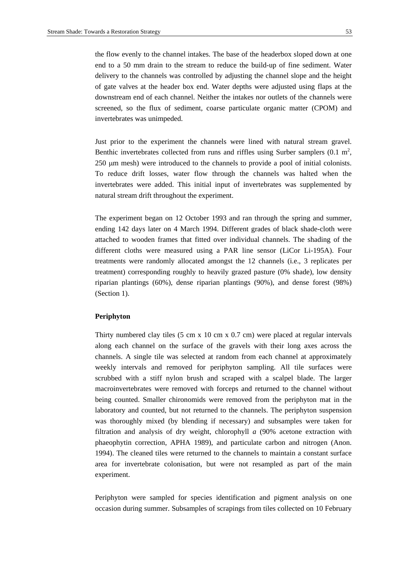delivery to the channels was controlled by adjusting the channel slope and the height of gate valves at the header box end. Water depths were adjusted using flaps at the downstream end of each channel. Neither the intakes nor outlets of the channels were screened, so the flux of sediment, coarse particulate organic matter (CPOM) and invertebrates was unimpeded.

Just prior to the experiment the channels were lined with natural stream gravel. Benthic invertebrates collected from runs and riffles using Surber samplers  $(0.1 \text{ m}^2,$ 250 µm mesh) were introduced to the channels to provide a pool of initial colonists. To reduce drift losses, water flow through the channels was halted when the invertebrates were added. This initial input of invertebrates was supplemented by natural stream drift throughout the experiment.

The experiment began on 12 October 1993 and ran through the spring and summer, ending 142 days later on 4 March 1994. Different grades of black shade-cloth were attached to wooden frames that fitted over individual channels. The shading of the different cloths were measured using a PAR line sensor (LiCor Li-195A). Four treatments were randomly allocated amongst the 12 channels (i.e., 3 replicates per treatment) corresponding roughly to heavily grazed pasture (0% shade), low density riparian plantings (60%), dense riparian plantings (90%), and dense forest (98%) (Section 1).

## **Periphyton**

Thirty numbered clay tiles (5 cm x 10 cm x 0.7 cm) were placed at regular intervals along each channel on the surface of the gravels with their long axes across the channels. A single tile was selected at random from each channel at approximately weekly intervals and removed for periphyton sampling. All tile surfaces were scrubbed with a stiff nylon brush and scraped with a scalpel blade. The larger macroinvertebrates were removed with forceps and returned to the channel without being counted. Smaller chironomids were removed from the periphyton mat in the laboratory and counted, but not returned to the channels. The periphyton suspension was thoroughly mixed (by blending if necessary) and subsamples were taken for filtration and analysis of dry weight, chlorophyll *a* (90% acetone extraction with phaeophytin correction, APHA 1989), and particulate carbon and nitrogen (Anon. 1994). The cleaned tiles were returned to the channels to maintain a constant surface area for invertebrate colonisation, but were not resampled as part of the main experiment.

Periphyton were sampled for species identification and pigment analysis on one occasion during summer. Subsamples of scrapings from tiles collected on 10 February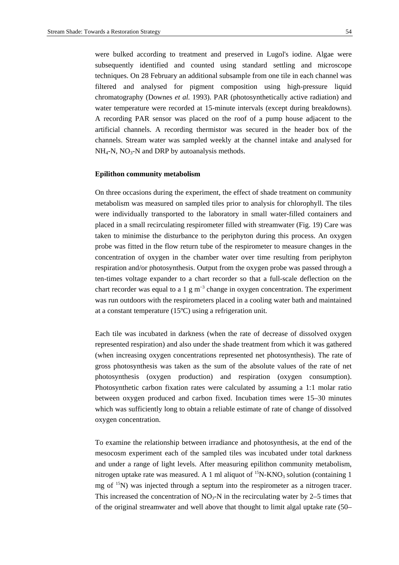were bulked according to treatment and preserved in Lugol's iodine. Algae were subsequently identified and counted using standard settling and microscope techniques. On 28 February an additional subsample from one tile in each channel was filtered and analysed for pigment composition using high-pressure liquid chromatography (Downes *et al.* 1993). PAR (photosynthetically active radiation) and water temperature were recorded at 15-minute intervals (except during breakdowns). A recording PAR sensor was placed on the roof of a pump house adjacent to the artificial channels. A recording thermistor was secured in the header box of the channels. Stream water was sampled weekly at the channel intake and analysed for  $NH_4-N$ ,  $NO_3-N$  and DRP by autoanalysis methods.

#### **Epilithon community metabolism**

On three occasions during the experiment, the effect of shade treatment on community metabolism was measured on sampled tiles prior to analysis for chlorophyll. The tiles were individually transported to the laboratory in small water-filled containers and placed in a small recirculating respirometer filled with streamwater (Fig. 19) Care was taken to minimise the disturbance to the periphyton during this process. An oxygen probe was fitted in the flow return tube of the respirometer to measure changes in the concentration of oxygen in the chamber water over time resulting from periphyton respiration and/or photosynthesis. Output from the oxygen probe was passed through a ten-times voltage expander to a chart recorder so that a full-scale deflection on the chart recorder was equal to a 1  $\text{g m}^{-3}$  change in oxygen concentration. The experiment was run outdoors with the respirometers placed in a cooling water bath and maintained at a constant temperature (15ºC) using a refrigeration unit.

Each tile was incubated in darkness (when the rate of decrease of dissolved oxygen represented respiration) and also under the shade treatment from which it was gathered (when increasing oxygen concentrations represented net photosynthesis). The rate of gross photosynthesis was taken as the sum of the absolute values of the rate of net photosynthesis (oxygen production) and respiration (oxygen consumption). Photosynthetic carbon fixation rates were calculated by assuming a 1:1 molar ratio between oxygen produced and carbon fixed. Incubation times were 15–30 minutes which was sufficiently long to obtain a reliable estimate of rate of change of dissolved oxygen concentration.

To examine the relationship between irradiance and photosynthesis, at the end of the mesocosm experiment each of the sampled tiles was incubated under total darkness and under a range of light levels. After measuring epilithon community metabolism, nitrogen uptake rate was measured. A 1 ml aliquot of <sup>15</sup>N-KNO<sub>3</sub> solution (containing 1) mg of <sup>15</sup>N) was injected through a septum into the respirometer as a nitrogen tracer. This increased the concentration of  $NO<sub>3</sub>-N$  in the recirculating water by 2–5 times that of the original streamwater and well above that thought to limit algal uptake rate (50–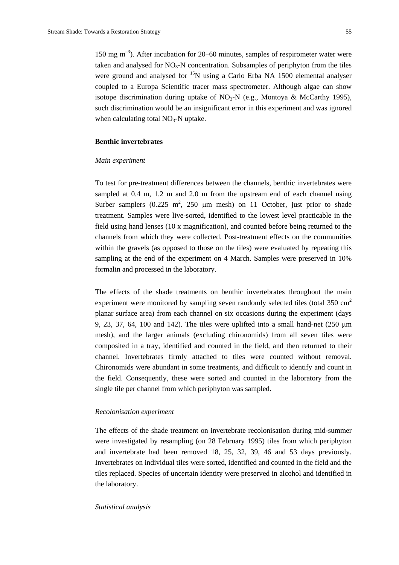150 mg  $\mathrm{m}^{-3}$ ). After incubation for 20–60 minutes, samples of respirometer water were taken and analysed for  $NO<sub>3</sub>-N$  concentration. Subsamples of periphyton from the tiles were ground and analysed for <sup>15</sup>N using a Carlo Erba NA 1500 elemental analyser coupled to a Europa Scientific tracer mass spectrometer. Although algae can show isotope discrimination during uptake of  $NO_3-N$  (e.g., Montoya & McCarthy 1995), such discrimination would be an insignificant error in this experiment and was ignored when calculating total  $NO<sub>3</sub>$ -N uptake.

# **Benthic invertebrates**

#### *Main experiment*

To test for pre-treatment differences between the channels, benthic invertebrates were sampled at 0.4 m, 1.2 m and 2.0 m from the upstream end of each channel using Surber samplers  $(0.225 \text{ m}^2, 250 \text{ \mu m mesh})$  on 11 October, just prior to shade treatment. Samples were live-sorted, identified to the lowest level practicable in the field using hand lenses (10 x magnification), and counted before being returned to the channels from which they were collected. Post-treatment effects on the communities within the gravels (as opposed to those on the tiles) were evaluated by repeating this sampling at the end of the experiment on 4 March. Samples were preserved in 10% formalin and processed in the laboratory.

The effects of the shade treatments on benthic invertebrates throughout the main experiment were monitored by sampling seven randomly selected tiles (total  $350 \text{ cm}^2$ ) planar surface area) from each channel on six occasions during the experiment (days 9, 23, 37, 64, 100 and 142). The tiles were uplifted into a small hand-net (250 µm mesh), and the larger animals (excluding chironomids) from all seven tiles were composited in a tray, identified and counted in the field, and then returned to their channel. Invertebrates firmly attached to tiles were counted without removal. Chironomids were abundant in some treatments, and difficult to identify and count in the field. Consequently, these were sorted and counted in the laboratory from the single tile per channel from which periphyton was sampled.

#### *Recolonisation experiment*

The effects of the shade treatment on invertebrate recolonisation during mid-summer were investigated by resampling (on 28 February 1995) tiles from which periphyton and invertebrate had been removed 18, 25, 32, 39, 46 and 53 days previously. Invertebrates on individual tiles were sorted, identified and counted in the field and the tiles replaced. Species of uncertain identity were preserved in alcohol and identified in the laboratory.

#### *Statistical analysis*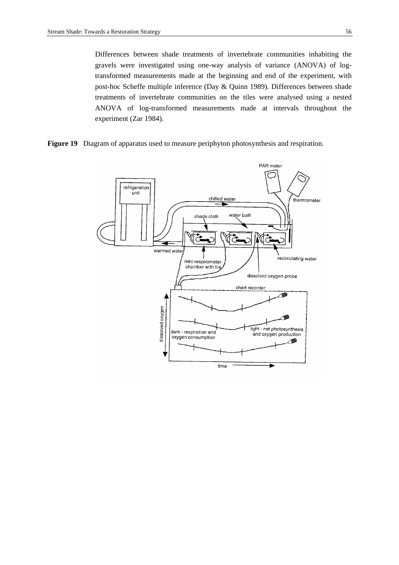Differences between shade treatments of invertebrate communities inhabiting the gravels were investigated using one-way analysis of variance (ANOVA) of logtransformed measurements made at the beginning and end of the experiment, with post-hoc Scheffe multiple inference (Day & Quinn 1989). Differences between shade treatments of invertebrate communities on the tiles were analysed using a nested ANOVA of log-transformed measurements made at intervals throughout the experiment (Zar 1984).

**Figure 19**Diagram of apparatus used to measure periphyton photosynthesis and respiration.

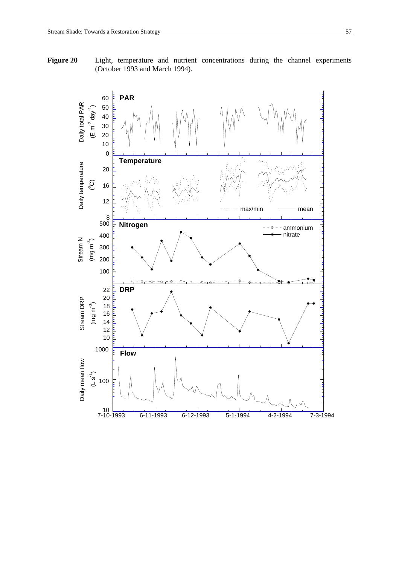**Figure 20** Light, temperature and nutrient concentrations during the channel experiments (October 1993 and March 1994).

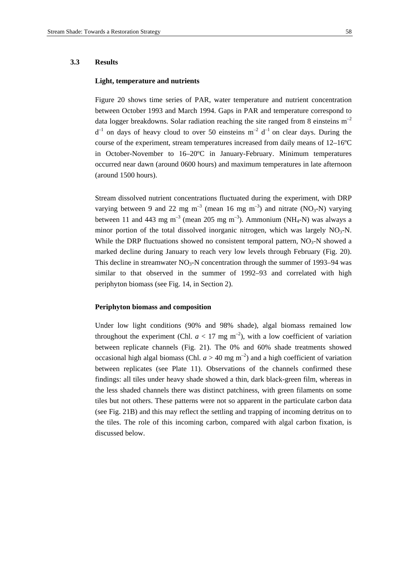# **3.3 Results**

# **Light, temperature and nutrients**

Figure 20 shows time series of PAR, water temperature and nutrient concentration between October 1993 and March 1994. Gaps in PAR and temperature correspond to data logger breakdowns. Solar radiation reaching the site ranged from 8 einsteins  $m^{-2}$  $d^{-1}$  on days of heavy cloud to over 50 einsteins  $m^{-2}$  d<sup>-1</sup> on clear days. During the course of the experiment, stream temperatures increased from daily means of 12–16ºC in October-November to 16–20ºC in January-February. Minimum temperatures occurred near dawn (around 0600 hours) and maximum temperatures in late afternoon (around 1500 hours).

Stream dissolved nutrient concentrations fluctuated during the experiment, with DRP varying between 9 and 22 mg m<sup>-3</sup> (mean 16 mg m<sup>-3</sup>) and nitrate (NO<sub>3</sub>-N) varying between 11 and 443 mg m<sup>-3</sup> (mean 205 mg m<sup>-3</sup>). Ammonium (NH<sub>4</sub>-N) was always a minor portion of the total dissolved inorganic nitrogen, which was largely  $NO<sub>3</sub>-N$ . While the DRP fluctuations showed no consistent temporal pattern,  $NO<sub>3</sub>-N$  showed a marked decline during January to reach very low levels through February (Fig. 20). This decline in streamwater  $NO_3$ -N concentration through the summer of 1993–94 was similar to that observed in the summer of 1992–93 and correlated with high periphyton biomass (see Fig. 14, in Section 2).

#### **Periphyton biomass and composition**

Under low light conditions (90% and 98% shade), algal biomass remained low throughout the experiment (Chl.  $a < 17$  mg m<sup>-2</sup>), with a low coefficient of variation between replicate channels (Fig. 21). The 0% and 60% shade treatments showed occasional high algal biomass (Chl.  $a > 40$  mg m<sup>-2</sup>) and a high coefficient of variation between replicates (see Plate 11). Observations of the channels confirmed these findings: all tiles under heavy shade showed a thin, dark black-green film, whereas in the less shaded channels there was distinct patchiness, with green filaments on some tiles but not others. These patterns were not so apparent in the particulate carbon data (see Fig. 21B) and this may reflect the settling and trapping of incoming detritus on to the tiles. The role of this incoming carbon, compared with algal carbon fixation, is discussed below.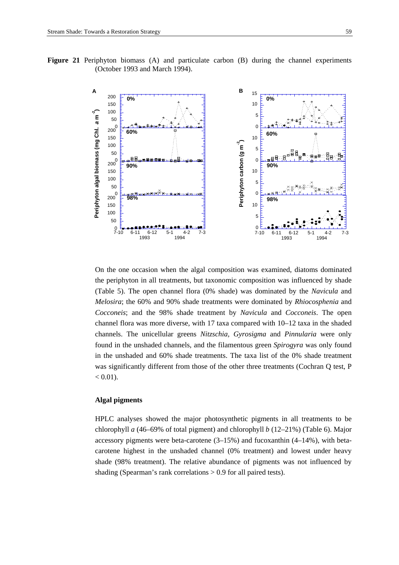**Figure 21** Periphyton biomass (A) and particulate carbon (B) during the channel experiments (October 1993 and March 1994).



On the one occasion when the algal composition was examined, diatoms dominated the periphyton in all treatments, but taxonomic composition was influenced by shade (Table 5). The open channel flora (0% shade) was dominated by the *Navicula* and *Melosira*; the 60% and 90% shade treatments were dominated by *Rhiocosphenia* and *Cocconeis*; and the 98% shade treatment by *Navicula* and *Cocconeis*. The open channel flora was more diverse, with 17 taxa compared with 10–12 taxa in the shaded channels. The unicellular greens *Nitzschia, Gyrosigma* and *Pinnularia* were only found in the unshaded channels, and the filamentous green *Spirogyra* was only found in the unshaded and 60% shade treatments. The taxa list of the 0% shade treatment was significantly different from those of the other three treatments (Cochran Q test, P  $< 0.01$ ).

# **Algal pigments**

HPLC analyses showed the major photosynthetic pigments in all treatments to be chlorophyll *a* (46–69% of total pigment) and chlorophyll *b* (12–21%) (Table 6). Major accessory pigments were beta-carotene (3–15%) and fucoxanthin (4–14%), with betacarotene highest in the unshaded channel (0% treatment) and lowest under heavy shade (98% treatment). The relative abundance of pigments was not influenced by shading (Spearman's rank correlations > 0.9 for all paired tests).